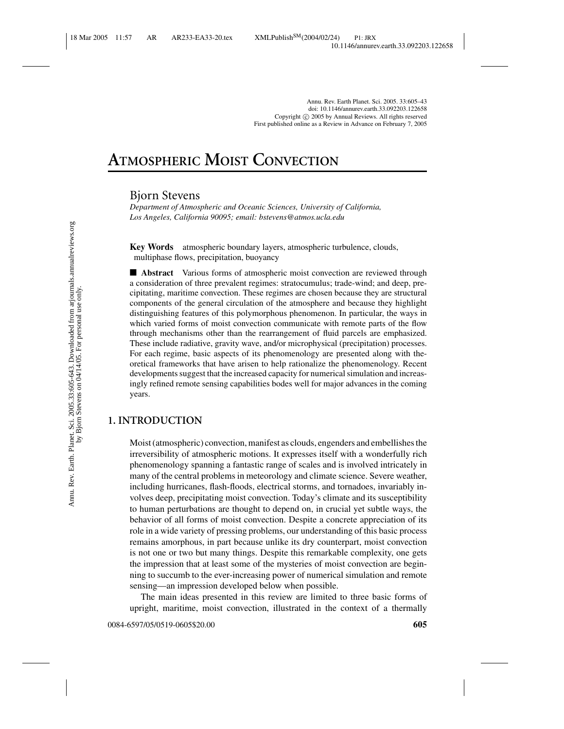## **ATMOSPHERIC MOIST CONVECTION**

Bjorn Stevens

*Department of Atmospheric and Oceanic Sciences, University of California, Los Angeles, California 90095; email: bstevens@atmos.ucla.edu*

**Key Words** atmospheric boundary layers, atmospheric turbulence, clouds, multiphase flows, precipitation, buoyancy

■ **Abstract** Various forms of atmospheric moist convection are reviewed through a consideration of three prevalent regimes: stratocumulus; trade-wind; and deep, precipitating, maritime convection. These regimes are chosen because they are structural components of the general circulation of the atmosphere and because they highlight distinguishing features of this polymorphous phenomenon. In particular, the ways in which varied forms of moist convection communicate with remote parts of the flow through mechanisms other than the rearrangement of fluid parcels are emphasized. These include radiative, gravity wave, and/or microphysical (precipitation) processes. For each regime, basic aspects of its phenomenology are presented along with theoretical frameworks that have arisen to help rationalize the phenomenology. Recent developments suggest that the increased capacity for numerical simulation and increasingly refined remote sensing capabilities bodes well for major advances in the coming years.

## **1. INTRODUCTION**

Moist (atmospheric) convection, manifest as clouds, engenders and embellishes the irreversibility of atmospheric motions. It expresses itself with a wonderfully rich phenomenology spanning a fantastic range of scales and is involved intricately in many of the central problems in meteorology and climate science. Severe weather, including hurricanes, flash-floods, electrical storms, and tornadoes, invariably involves deep, precipitating moist convection. Today's climate and its susceptibility to human perturbations are thought to depend on, in crucial yet subtle ways, the behavior of all forms of moist convection. Despite a concrete appreciation of its role in a wide variety of pressing problems, our understanding of this basic process remains amorphous, in part because unlike its dry counterpart, moist convection is not one or two but many things. Despite this remarkable complexity, one gets the impression that at least some of the mysteries of moist convection are beginning to succumb to the ever-increasing power of numerical simulation and remote sensing—an impression developed below when possible.

The main ideas presented in this review are limited to three basic forms of upright, maritime, moist convection, illustrated in the context of a thermally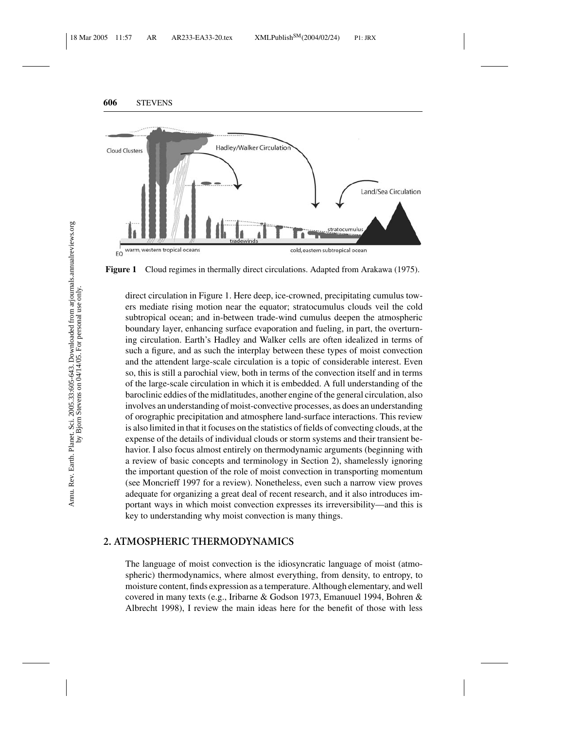

**Figure 1** Cloud regimes in thermally direct circulations. Adapted from Arakawa (1975).

direct circulation in Figure 1. Here deep, ice-crowned, precipitating cumulus towers mediate rising motion near the equator; stratocumulus clouds veil the cold subtropical ocean; and in-between trade-wind cumulus deepen the atmospheric boundary layer, enhancing surface evaporation and fueling, in part, the overturning circulation. Earth's Hadley and Walker cells are often idealized in terms of such a figure, and as such the interplay between these types of moist convection and the attendent large-scale circulation is a topic of considerable interest. Even so, this is still a parochial view, both in terms of the convection itself and in terms of the large-scale circulation in which it is embedded. A full understanding of the baroclinic eddies of the midlatitudes, another engine of the general circulation, also involves an understanding of moist-convective processes, as does an understanding of orographic precipitation and atmosphere land-surface interactions. This review is also limited in that it focuses on the statistics of fields of convecting clouds, at the expense of the details of individual clouds or storm systems and their transient behavior. I also focus almost entirely on thermodynamic arguments (beginning with a review of basic concepts and terminology in Section 2), shamelessly ignoring the important question of the role of moist convection in transporting momentum (see Moncrieff 1997 for a review). Nonetheless, even such a narrow view proves adequate for organizing a great deal of recent research, and it also introduces important ways in which moist convection expresses its irreversibility—and this is key to understanding why moist convection is many things.

## **2. ATMOSPHERIC THERMODYNAMICS**

The language of moist convection is the idiosyncratic language of moist (atmospheric) thermodynamics, where almost everything, from density, to entropy, to moisture content, finds expression as a temperature. Although elementary, and well covered in many texts (e.g., Iribarne & Godson 1973, Emanuuel 1994, Bohren & Albrecht 1998), I review the main ideas here for the benefit of those with less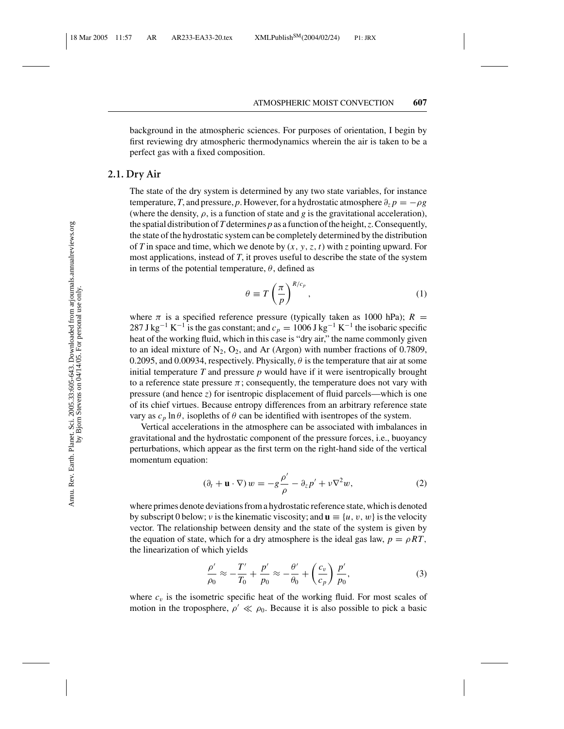background in the atmospheric sciences. For purposes of orientation, I begin by first reviewing dry atmospheric thermodynamics wherein the air is taken to be a perfect gas with a fixed composition.

#### **2.1. Dry Air**

The state of the dry system is determined by any two state variables, for instance temperature, *T*, and pressure, *p*. However, for a hydrostatic atmosphere  $\partial_z p = -\rho g$ (where the density,  $\rho$ , is a function of state and *g* is the gravitational acceleration), the spatial distribution of *T* determines *p* as a function of the height,*z*.Consequently, the state of the hydrostatic system can be completely determined by the distribution of *T* in space and time, which we denote by (*x*, *y*,*z*, *t*) with *z* pointing upward. For most applications, instead of *T*, it proves useful to describe the state of the system in terms of the potential temperature,  $\theta$ , defined as

$$
\theta \equiv T \left( \frac{\pi}{p} \right)^{R/c_p},\tag{1}
$$

where  $\pi$  is a specified reference pressure (typically taken as 1000 hPa);  $R =$ 287 J kg<sup>-1</sup> K<sup>-1</sup> is the gas constant; and  $c_p = 1006$  J kg<sup>-1</sup> K<sup>-1</sup> the isobaric specific heat of the working fluid, which in this case is "dry air," the name commonly given to an ideal mixture of  $N_2$ ,  $O_2$ , and Ar (Argon) with number fractions of 0.7809, 0.2095, and 0.00934, respectively. Physically,  $\theta$  is the temperature that air at some initial temperature *T* and pressure *p* would have if it were isentropically brought to a reference state pressure  $\pi$ ; consequently, the temperature does not vary with pressure (and hence *z*) for isentropic displacement of fluid parcels—which is one of its chief virtues. Because entropy differences from an arbitrary reference state vary as  $c_p \ln \theta$ , isopleths of  $\theta$  can be identified with isentropes of the system.

Vertical accelerations in the atmosphere can be associated with imbalances in gravitational and the hydrostatic component of the pressure forces, i.e., buoyancy perturbations, which appear as the first term on the right-hand side of the vertical momentum equation:

$$
(\partial_t + \mathbf{u} \cdot \nabla) w = -g \frac{\rho'}{\rho} - \partial_z p' + v \nabla^2 w,
$$
 (2)

where primes denote deviations from a hydrostatic reference state, which is denoted by subscript 0 below; v is the kinematic viscosity; and  $\mathbf{u} \equiv \{u, v, w\}$  is the velocity vector. The relationship between density and the state of the system is given by the equation of state, which for a dry atmosphere is the ideal gas law,  $p = \rho RT$ , the linearization of which yields

$$
\frac{\rho'}{\rho_0} \approx -\frac{T'}{T_0} + \frac{p'}{p_0} \approx -\frac{\theta'}{\theta_0} + \left(\frac{c_v}{c_p}\right) \frac{p'}{p_0},\tag{3}
$$

where  $c_v$  is the isometric specific heat of the working fluid. For most scales of motion in the troposphere,  $\rho' \ll \rho_0$ . Because it is also possible to pick a basic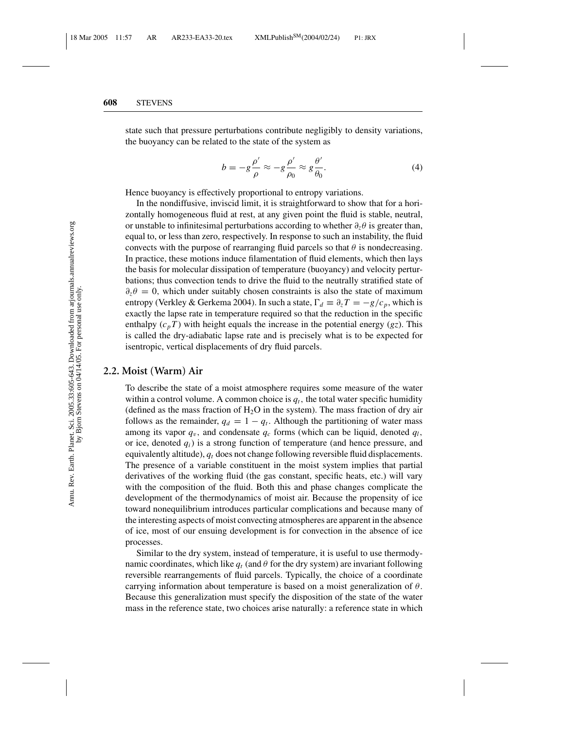state such that pressure perturbations contribute negligibly to density variations, the buoyancy can be related to the state of the system as

$$
b = -g\frac{\rho'}{\rho} \approx -g\frac{\rho'}{\rho_0} \approx g\frac{\theta'}{\theta_0}.
$$
 (4)

Hence buoyancy is effectively proportional to entropy variations.

In the nondiffusive, inviscid limit, it is straightforward to show that for a horizontally homogeneous fluid at rest, at any given point the fluid is stable, neutral, or unstable to infinitesimal perturbations according to whether ∂*z*θ is greater than, equal to, or less than zero, respectively. In response to such an instability, the fluid convects with the purpose of rearranging fluid parcels so that  $\theta$  is nondecreasing. In practice, these motions induce filamentation of fluid elements, which then lays the basis for molecular dissipation of temperature (buoyancy) and velocity perturbations; thus convection tends to drive the fluid to the neutrally stratified state of  $\partial_z \theta = 0$ , which under suitably chosen constraints is also the state of maximum entropy (Verkley & Gerkema 2004). In such a state,  $\Gamma_d \equiv \partial_z T = -g/c_p$ , which is exactly the lapse rate in temperature required so that the reduction in the specific enthalpy  $(c_pT)$  with height equals the increase in the potential energy  $(gz)$ . This is called the dry-adiabatic lapse rate and is precisely what is to be expected for isentropic, vertical displacements of dry fluid parcels.

#### **2.2. Moist (Warm) Air**

To describe the state of a moist atmosphere requires some measure of the water within a control volume. A common choice is  $q_t$ , the total water specific humidity (defined as the mass fraction of  $H_2O$  in the system). The mass fraction of dry air follows as the remainder,  $q_d = 1 - q_t$ . Although the partitioning of water mass among its vapor  $q_v$ , and condensate  $q_c$  forms (which can be liquid, denoted  $q_l$ , or ice, denoted  $q_i$ ) is a strong function of temperature (and hence pressure, and equivalently altitude), *qt* does not change following reversible fluid displacements. The presence of a variable constituent in the moist system implies that partial derivatives of the working fluid (the gas constant, specific heats, etc.) will vary with the composition of the fluid. Both this and phase changes complicate the development of the thermodynamics of moist air. Because the propensity of ice toward nonequilibrium introduces particular complications and because many of the interesting aspects of moist convecting atmospheres are apparent in the absence of ice, most of our ensuing development is for convection in the absence of ice processes.

Similar to the dry system, instead of temperature, it is useful to use thermodynamic coordinates, which like  $q_t$  (and  $\theta$  for the dry system) are invariant following reversible rearrangements of fluid parcels. Typically, the choice of a coordinate carrying information about temperature is based on a moist generalization of  $\theta$ . Because this generalization must specify the disposition of the state of the water mass in the reference state, two choices arise naturally: a reference state in which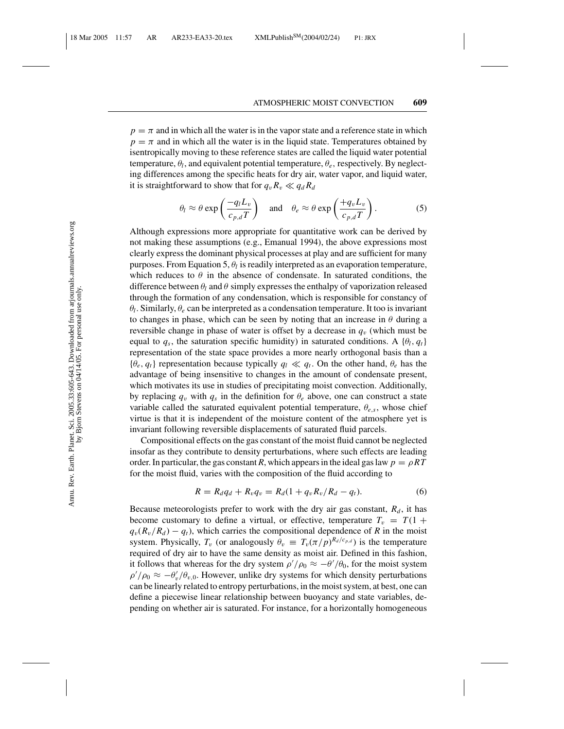$p = \pi$  and in which all the water is in the vapor state and a reference state in which  $p = \pi$  and in which all the water is in the liquid state. Temperatures obtained by isentropically moving to these reference states are called the liquid water potential temperature,  $\theta_l$ , and equivalent potential temperature,  $\theta_e$ , respectively. By neglecting differences among the specific heats for dry air, water vapor, and liquid water, it is straightforward to show that for  $q_v R_v \ll q_d R_d$ 

$$
\theta_l \approx \theta \exp\left(\frac{-q_l L_v}{c_{p,d} T}\right)
$$
 and  $\theta_e \approx \theta \exp\left(\frac{+q_v L_v}{c_{p,d} T}\right)$ . (5)

Although expressions more appropriate for quantitative work can be derived by not making these assumptions (e.g., Emanual 1994), the above expressions most clearly express the dominant physical processes at play and are sufficient for many purposes. From Equation 5, θ*<sup>l</sup>* is readily interpreted as an evaporation temperature, which reduces to  $\theta$  in the absence of condensate. In saturated conditions, the difference between  $\theta_l$  and  $\theta$  simply expresses the enthalpy of vaporization released through the formation of any condensation, which is responsible for constancy of  $\theta_l$ . Similarly,  $\theta_e$  can be interpreted as a condensation temperature. It too is invariant to changes in phase, which can be seen by noting that an increase in  $\theta$  during a reversible change in phase of water is offset by a decrease in  $q_v$  (which must be equal to  $q_s$ , the saturation specific humidity) in saturated conditions. A  $\{\theta_l, q_t\}$ representation of the state space provides a more nearly orthogonal basis than a  ${\theta}_e, q_t$ } representation because typically  $q_l \ll q_t$ . On the other hand,  $\theta_e$  has the advantage of being insensitive to changes in the amount of condensate present, which motivates its use in studies of precipitating moist convection. Additionally, by replacing  $q_v$  with  $q_s$  in the definition for  $\theta_e$  above, one can construct a state variable called the saturated equivalent potential temperature, θ*<sup>e</sup>*,*<sup>s</sup>*, whose chief virtue is that it is independent of the moisture content of the atmosphere yet is invariant following reversible displacements of saturated fluid parcels.

Compositional effects on the gas constant of the moist fluid cannot be neglected insofar as they contribute to density perturbations, where such effects are leading order. In particular, the gas constant *R*, which appears in the ideal gas law  $p = \rho RT$ for the moist fluid, varies with the composition of the fluid according to

$$
R = R_d q_d + R_v q_v = R_d (1 + q_v R_v / R_d - q_t).
$$
 (6)

Because meteorologists prefer to work with the dry air gas constant,  $R_d$ , it has become customary to define a virtual, or effective, temperature  $T_v = T(1 +$  $q_v(R_v/R_d) - q_t$ , which carries the compositional dependence of *R* in the moist system. Physically,  $T_v$  (or analogously  $\theta_v \equiv T_v(\pi/p)^{R_d/c_{p,d}}$ ) is the temperature required of dry air to have the same density as moist air. Defined in this fashion, it follows that whereas for the dry system  $\rho' / \rho_0 \approx -\theta' / \theta_0$ , for the moist system  $\rho' / \rho_0 \approx -\theta_v' / \theta_{v,0}$ . However, unlike dry systems for which density perturbations can be linearly related to entropy perturbations, in the moist system, at best, one can define a piecewise linear relationship between buoyancy and state variables, depending on whether air is saturated. For instance, for a horizontally homogeneous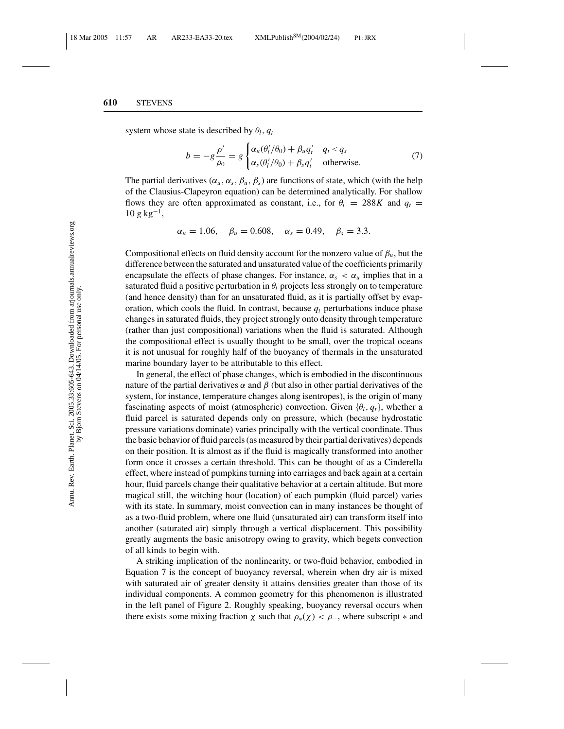system whose state is described by  $\theta_l$ ,  $q_t$ 

$$
b = -g\frac{\rho'}{\rho_0} = g \begin{cases} \alpha_u(\theta'_l/\theta_0) + \beta_u q'_t & q_t < q_s \\ \alpha_s(\theta'_l/\theta_0) + \beta_s q'_t & \text{otherwise.} \end{cases}
$$
 (7)

The partial derivatives ( $\alpha_u$ ,  $\alpha_s$ ,  $\beta_u$ ,  $\beta_s$ ) are functions of state, which (with the help of the Clausius-Clapeyron equation) can be determined analytically. For shallow flows they are often approximated as constant, i.e., for  $\theta_l = 288K$  and  $q_t =$  $10 \text{ g kg}^{-1}$ ,

$$
\alpha_u = 1.06
$$
,  $\beta_u = 0.608$ ,  $\alpha_s = 0.49$ ,  $\beta_s = 3.3$ .

Compositional effects on fluid density account for the nonzero value of  $\beta_u$ , but the difference between the saturated and unsaturated value of the coefficients primarily encapsulate the effects of phase changes. For instance,  $\alpha_s < \alpha_u$  implies that in a saturated fluid a positive perturbation in  $\theta_l$  projects less strongly on to temperature (and hence density) than for an unsaturated fluid, as it is partially offset by evaporation, which cools the fluid. In contrast, because  $q_t$  perturbations induce phase changes in saturated fluids, they project strongly onto density through temperature (rather than just compositional) variations when the fluid is saturated. Although the compositional effect is usually thought to be small, over the tropical oceans it is not unusual for roughly half of the buoyancy of thermals in the unsaturated marine boundary layer to be attributable to this effect.

In general, the effect of phase changes, which is embodied in the discontinuous nature of the partial derivatives  $\alpha$  and  $\beta$  (but also in other partial derivatives of the system, for instance, temperature changes along isentropes), is the origin of many fascinating aspects of moist (atmospheric) convection. Given  $\{\theta_l, q_t\}$ , whether a fluid parcel is saturated depends only on pressure, which (because hydrostatic pressure variations dominate) varies principally with the vertical coordinate. Thus the basic behavior of fluid parcels (as measured by their partial derivatives) depends on their position. It is almost as if the fluid is magically transformed into another form once it crosses a certain threshold. This can be thought of as a Cinderella effect, where instead of pumpkins turning into carriages and back again at a certain hour, fluid parcels change their qualitative behavior at a certain altitude. But more magical still, the witching hour (location) of each pumpkin (fluid parcel) varies with its state. In summary, moist convection can in many instances be thought of as a two-fluid problem, where one fluid (unsaturated air) can transform itself into another (saturated air) simply through a vertical displacement. This possibility greatly augments the basic anisotropy owing to gravity, which begets convection of all kinds to begin with.

A striking implication of the nonlinearity, or two-fluid behavior, embodied in Equation 7 is the concept of buoyancy reversal, wherein when dry air is mixed with saturated air of greater density it attains densities greater than those of its individual components. A common geometry for this phenomenon is illustrated in the left panel of Figure 2. Roughly speaking, buoyancy reversal occurs when there exists some mixing fraction  $\chi$  such that  $\rho_*(\chi) < \rho_-,$  where subscript  $*$  and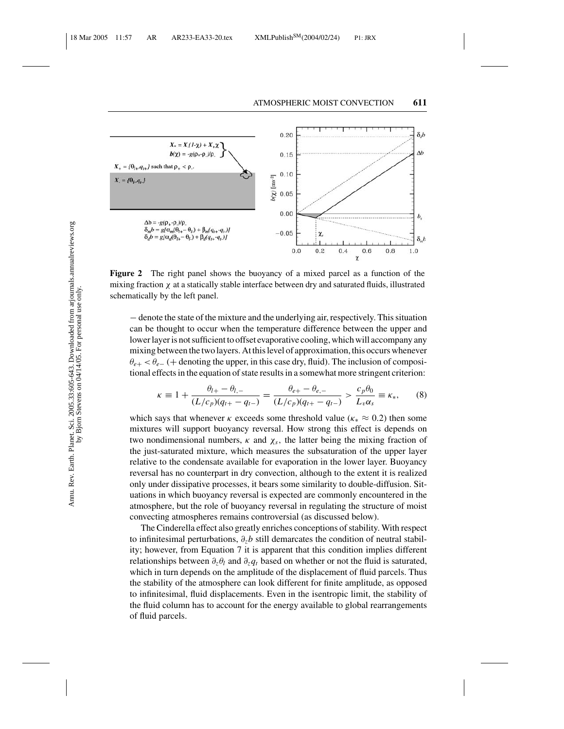

**Figure 2** The right panel shows the buoyancy of a mixed parcel as a function of the mixing fraction  $\chi$  at a statically stable interface between dry and saturated fluids, illustrated schematically by the left panel.

− denote the state of the mixture and the underlying air, respectively. This situation can be thought to occur when the temperature difference between the upper and lower layer is not sufficient to offset evaporative cooling, which will accompany any mixing between the two layers. At this level of approximation, this occurs whenever θ*e*<sup>+</sup> < θ*e*<sup>−</sup> (+ denoting the upper, in this case dry, fluid). The inclusion of compositional effects in the equation of state results in a somewhat more stringent criterion:

$$
\kappa \equiv 1 + \frac{\theta_{l+} - \theta_{l,-}}{(L/c_p)(q_{t+} - q_{t-})} = \frac{\theta_{e+} - \theta_{e,-}}{(L/c_p)(q_{t+} - q_{t-})} > \frac{c_p \theta_0}{L_v \alpha_s} \equiv \kappa_*, \qquad (8)
$$

which says that whenever  $\kappa$  exceeds some threshold value ( $\kappa_* \approx 0.2$ ) then some mixtures will support buoyancy reversal. How strong this effect is depends on two nondimensional numbers,  $\kappa$  and  $\chi_s$ , the latter being the mixing fraction of the just-saturated mixture, which measures the subsaturation of the upper layer relative to the condensate available for evaporation in the lower layer. Buoyancy reversal has no counterpart in dry convection, although to the extent it is realized only under dissipative processes, it bears some similarity to double-diffusion. Situations in which buoyancy reversal is expected are commonly encountered in the atmosphere, but the role of buoyancy reversal in regulating the structure of moist convecting atmospheres remains controversial (as discussed below).

The Cinderella effect also greatly enriches conceptions of stability. With respect to infinitesimal perturbations, ∂*zb* still demarcates the condition of neutral stability; however, from Equation 7 it is apparent that this condition implies different relationships between  $\partial_z \theta_l$  and  $\partial_z q_t$  based on whether or not the fluid is saturated, which in turn depends on the amplitude of the displacement of fluid parcels. Thus the stability of the atmosphere can look different for finite amplitude, as opposed to infinitesimal, fluid displacements. Even in the isentropic limit, the stability of the fluid column has to account for the energy available to global rearrangements of fluid parcels.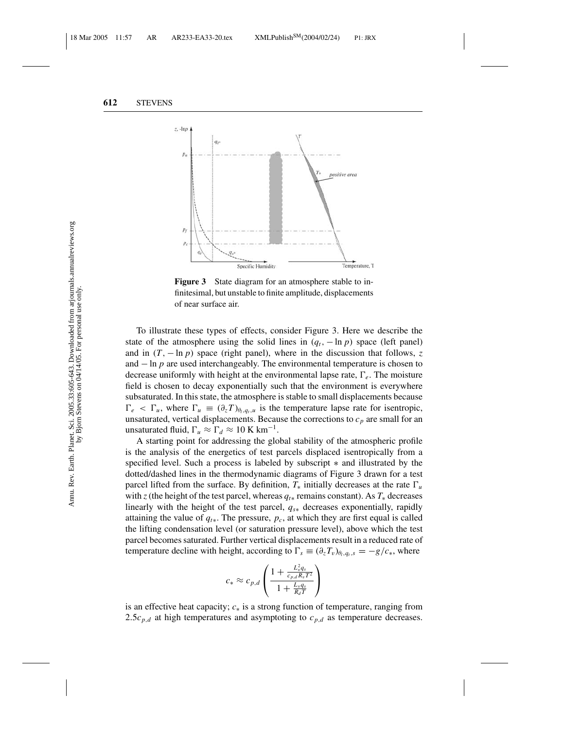

Figure 3 State diagram for an atmosphere stable to infinitesimal, but unstable to finite amplitude, displacements of near surface air.

To illustrate these types of effects, consider Figure 3. Here we describe the state of the atmosphere using the solid lines in  $(q_t, -\ln p)$  space (left panel) and in  $(T, -\ln p)$  space (right panel), where in the discussion that follows, *z* and − ln *p* are used interchangeably. The environmental temperature is chosen to decrease uniformly with height at the environmental lapse rate,  $\Gamma_e$ . The moisture field is chosen to decay exponentially such that the environment is everywhere subsaturated. In this state, the atmosphere is stable to small displacements because  $\Gamma_e$  <  $\Gamma_u$ , where  $\Gamma_u \equiv (\partial_z T)_{\theta_l, q_t, u}$  is the temperature lapse rate for isentropic, unsaturated, vertical displacements. Because the corrections to  $c<sub>p</sub>$  are small for an unsaturated fluid,  $\Gamma_u \approx \Gamma_d \approx 10 \text{ K km}^{-1}$ .

A starting point for addressing the global stability of the atmospheric profile is the analysis of the energetics of test parcels displaced isentropically from a specified level. Such a process is labeled by subscript \* and illustrated by the dotted/dashed lines in the thermodynamic diagrams of Figure 3 drawn for a test parcel lifted from the surface. By definition,  $T_*$  initially decreases at the rate  $\Gamma_u$ with *z* (the height of the test parcel, whereas  $q_t$ ∗ remains constant). As  $T^*$  decreases linearly with the height of the test parcel, *qs*<sup>∗</sup> decreases exponentially, rapidly attaining the value of  $q_{t*}$ . The pressure,  $p_c$ , at which they are first equal is called the lifting condensation level (or saturation pressure level), above which the test parcel becomes saturated. Further vertical displacements result in a reduced rate of temperature decline with height, according to  $\Gamma_s \equiv (\partial_z T_v)_{\theta_i, q_t, s} = -g/c_*$ , where

$$
c_* \approx c_{p,d} \left( \frac{1 + \frac{L_v^2 q_s}{c_{p,d} R_v T^2}}{1 + \frac{L_v q_s}{R_d T}} \right)
$$

is an effective heat capacity; *c*<sup>∗</sup> is a strong function of temperature, ranging from 2.5 $c_{p,d}$  at high temperatures and asymptoting to  $c_{p,d}$  as temperature decreases.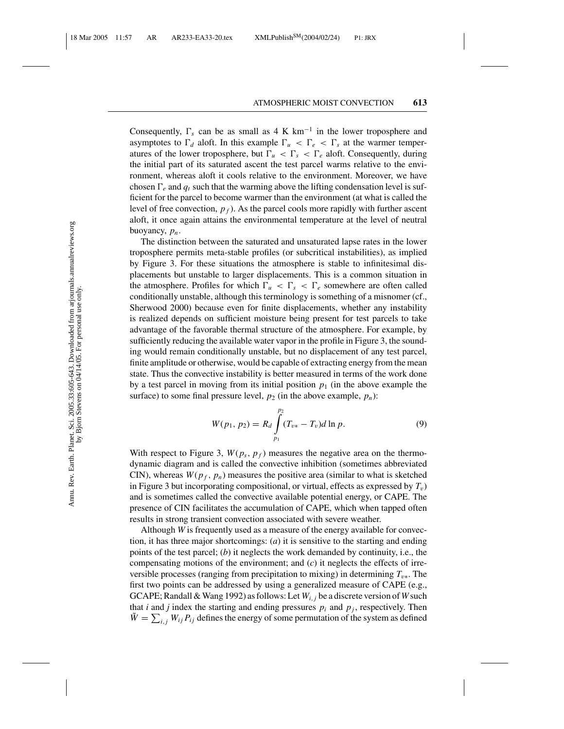Consequently,  $\Gamma_s$  can be as small as 4 K km<sup>-1</sup> in the lower troposphere and asymptotes to  $\Gamma_d$  aloft. In this example  $\Gamma_u < \Gamma_e < \Gamma_s$  at the warmer temperatures of the lower troposphere, but  $\Gamma_u < \Gamma_s < \Gamma_e$  aloft. Consequently, during the initial part of its saturated ascent the test parcel warms relative to the environment, whereas aloft it cools relative to the environment. Moreover, we have chosen  $\Gamma_e$  and  $q_t$  such that the warming above the lifting condensation level is sufficient for the parcel to become warmer than the environment (at what is called the level of free convection,  $p_f$ ). As the parcel cools more rapidly with further ascent aloft, it once again attains the environmental temperature at the level of neutral buoyancy, *pn*.

The distinction between the saturated and unsaturated lapse rates in the lower troposphere permits meta-stable profiles (or subcritical instabilities), as implied by Figure 3. For these situations the atmosphere is stable to infinitesimal displacements but unstable to larger displacements. This is a common situation in the atmosphere. Profiles for which  $\Gamma_u < \Gamma_s < \Gamma_e$  somewhere are often called conditionally unstable, although this terminology is something of a misnomer (cf., Sherwood 2000) because even for finite displacements, whether any instability is realized depends on sufficient moisture being present for test parcels to take advantage of the favorable thermal structure of the atmosphere. For example, by sufficiently reducing the available water vapor in the profile in Figure 3, the sounding would remain conditionally unstable, but no displacement of any test parcel, finite amplitude or otherwise, would be capable of extracting energy from the mean state. Thus the convective instability is better measured in terms of the work done by a test parcel in moving from its initial position  $p_1$  (in the above example the surface) to some final pressure level,  $p_2$  (in the above example,  $p_n$ ):

$$
W(p_1, p_2) = R_d \int_{p_1}^{p_2} (T_{v*} - T_v) d \ln p.
$$
 (9)

With respect to Figure 3,  $W(p_s, p_f)$  measures the negative area on the thermodynamic diagram and is called the convective inhibition (sometimes abbreviated CIN), whereas  $W(p_f, p_n)$  measures the positive area (similar to what is sketched in Figure 3 but incorporating compositional, or virtual, effects as expressed by  $T_v$ ) and is sometimes called the convective available potential energy, or CAPE. The presence of CIN facilitates the accumulation of CAPE, which when tapped often results in strong transient convection associated with severe weather.

Although *W* is frequently used as a measure of the energy available for convection, it has three major shortcomings: (*a*) it is sensitive to the starting and ending points of the test parcel; (*b*) it neglects the work demanded by continuity, i.e., the compensating motions of the environment; and (*c*) it neglects the effects of irreversible processes (ranging from precipitation to mixing) in determining  $T_{v*}$ . The first two points can be addressed by using a generalized measure of CAPE (e.g., GCAPE; Randall & Wang 1992) as follows: Let *Wi*,*<sup>j</sup>* be a discrete version of *W* such that *i* and *j* index the starting and ending pressures  $p_i$  and  $p_j$ , respectively. Then  $\tilde{W} = \sum_{i,j} W_{ij} P_{ij}$  defines the energy of some permutation of the system as defined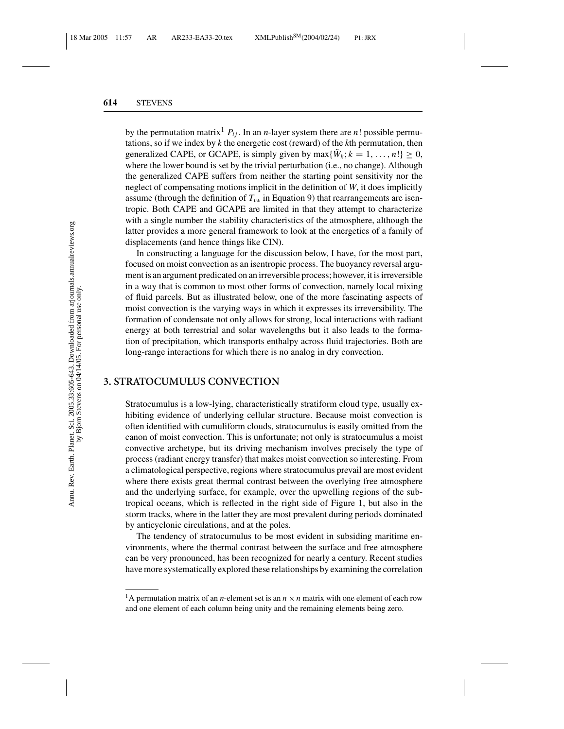by the permutation matrix<sup>1</sup>  $P_{ij}$ . In an *n*-layer system there are *n*! possible permutations, so if we index by *k* the energetic cost (reward) of the *k*th permutation, then generalized CAPE, or GCAPE, is simply given by  $\max\{W_k; k = 1, \ldots, n!\} \geq 0$ , where the lower bound is set by the trivial perturbation (i.e., no change). Although the generalized CAPE suffers from neither the starting point sensitivity nor the neglect of compensating motions implicit in the definition of *W*, it does implicitly assume (through the definition of  $T_{v*}$  in Equation 9) that rearrangements are isentropic. Both CAPE and GCAPE are limited in that they attempt to characterize with a single number the stability characteristics of the atmosphere, although the latter provides a more general framework to look at the energetics of a family of displacements (and hence things like CIN).

In constructing a language for the discussion below, I have, for the most part, focused on moist convection as an isentropic process. The buoyancy reversal argument is an argument predicated on an irreversible process; however, it is irreversible in a way that is common to most other forms of convection, namely local mixing of fluid parcels. But as illustrated below, one of the more fascinating aspects of moist convection is the varying ways in which it expresses its irreversibility. The formation of condensate not only allows for strong, local interactions with radiant energy at both terrestrial and solar wavelengths but it also leads to the formation of precipitation, which transports enthalpy across fluid trajectories. Both are long-range interactions for which there is no analog in dry convection.

## **3. STRATOCUMULUS CONVECTION**

Stratocumulus is a low-lying, characteristically stratiform cloud type, usually exhibiting evidence of underlying cellular structure. Because moist convection is often identified with cumuliform clouds, stratocumulus is easily omitted from the canon of moist convection. This is unfortunate; not only is stratocumulus a moist convective archetype, but its driving mechanism involves precisely the type of process (radiant energy transfer) that makes moist convection so interesting. From a climatological perspective, regions where stratocumulus prevail are most evident where there exists great thermal contrast between the overlying free atmosphere and the underlying surface, for example, over the upwelling regions of the subtropical oceans, which is reflected in the right side of Figure 1, but also in the storm tracks, where in the latter they are most prevalent during periods dominated by anticyclonic circulations, and at the poles.

The tendency of stratocumulus to be most evident in subsiding maritime environments, where the thermal contrast between the surface and free atmosphere can be very pronounced, has been recognized for nearly a century. Recent studies have more systematically explored these relationships by examining the correlation

<sup>&</sup>lt;sup>1</sup>A permutation matrix of an *n*-element set is an  $n \times n$  matrix with one element of each row and one element of each column being unity and the remaining elements being zero.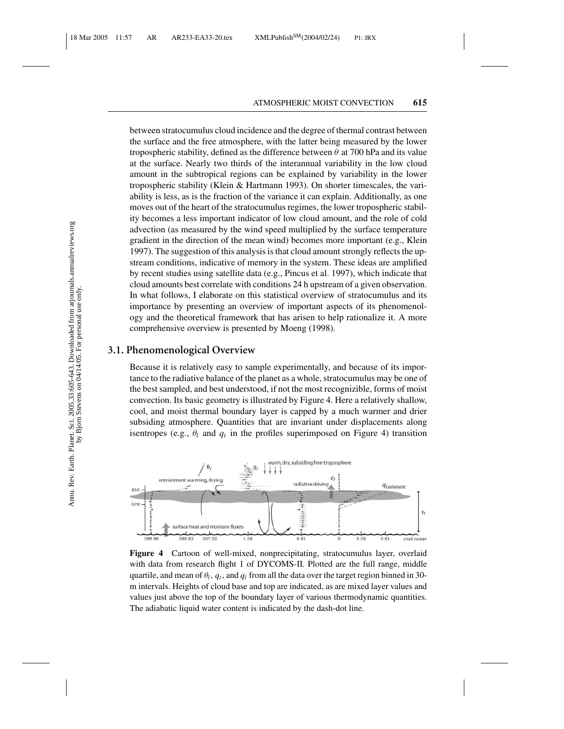between stratocumulus cloud incidence and the degree of thermal contrast between the surface and the free atmosphere, with the latter being measured by the lower tropospheric stability, defined as the difference between  $\theta$  at 700 hPa and its value at the surface. Nearly two thirds of the interannual variability in the low cloud amount in the subtropical regions can be explained by variability in the lower tropospheric stability (Klein & Hartmann 1993). On shorter timescales, the variability is less, as is the fraction of the variance it can explain. Additionally, as one moves out of the heart of the stratocumulus regimes, the lower tropospheric stability becomes a less important indicator of low cloud amount, and the role of cold advection (as measured by the wind speed multiplied by the surface temperature gradient in the direction of the mean wind) becomes more important (e.g., Klein 1997). The suggestion of this analysis is that cloud amount strongly reflects the upstream conditions, indicative of memory in the system. These ideas are amplified by recent studies using satellite data (e.g., Pincus et al. 1997), which indicate that cloud amounts best correlate with conditions 24 h upstream of a given observation. In what follows, I elaborate on this statistical overview of stratocumulus and its importance by presenting an overview of important aspects of its phenomenology and the theoretical framework that has arisen to help rationalize it. A more comprehensive overview is presented by Moeng (1998).

## **3.1. Phenomenological Overview**

Because it is relatively easy to sample experimentally, and because of its importance to the radiative balance of the planet as a whole, stratocumulus may be one of the best sampled, and best understood, if not the most recognizible, forms of moist convection. Its basic geometry is illustrated by Figure 4. Here a relatively shallow, cool, and moist thermal boundary layer is capped by a much warmer and drier subsiding atmosphere. Quantities that are invariant under displacements along isentropes (e.g.,  $\theta_l$  and  $q_t$  in the profiles superimposed on Figure 4) transition



**Figure 4** Cartoon of well-mixed, nonprecipitating, stratocumulus layer, overlaid with data from research flight 1 of DYCOMS-II. Plotted are the full range, middle quartile, and mean of  $\theta_l$ ,  $q_l$ , and  $q_l$  from all the data over the target region binned in 30m intervals. Heights of cloud base and top are indicated, as are mixed layer values and values just above the top of the boundary layer of various thermodynamic quantities. The adiabatic liquid water content is indicated by the dash-dot line.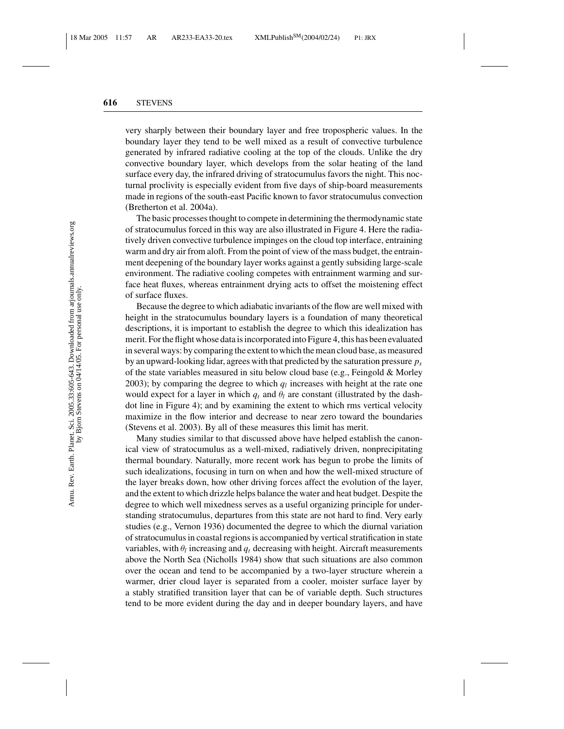very sharply between their boundary layer and free tropospheric values. In the boundary layer they tend to be well mixed as a result of convective turbulence generated by infrared radiative cooling at the top of the clouds. Unlike the dry convective boundary layer, which develops from the solar heating of the land surface every day, the infrared driving of stratocumulus favors the night. This nocturnal proclivity is especially evident from five days of ship-board measurements made in regions of the south-east Pacific known to favor stratocumulus convection (Bretherton et al. 2004a).

The basic processes thought to compete in determining the thermodynamic state of stratocumulus forced in this way are also illustrated in Figure 4. Here the radiatively driven convective turbulence impinges on the cloud top interface, entraining warm and dry air from aloft. From the point of view of the mass budget, the entrainment deepening of the boundary layer works against a gently subsiding large-scale environment. The radiative cooling competes with entrainment warming and surface heat fluxes, whereas entrainment drying acts to offset the moistening effect of surface fluxes.

Because the degree to which adiabatic invariants of the flow are well mixed with height in the stratocumulus boundary layers is a foundation of many theoretical descriptions, it is important to establish the degree to which this idealization has merit. For the flight whose data is incorporated into Figure 4, this has been evaluated in several ways: by comparing the extent to which the mean cloud base, as measured by an upward-looking lidar, agrees with that predicted by the saturation pressure *ps* of the state variables measured in situ below cloud base (e.g., Feingold & Morley 2003); by comparing the degree to which  $q_l$  increases with height at the rate one would expect for a layer in which  $q_t$  and  $\theta_l$  are constant (illustrated by the dashdot line in Figure 4); and by examining the extent to which rms vertical velocity maximize in the flow interior and decrease to near zero toward the boundaries (Stevens et al. 2003). By all of these measures this limit has merit.

Many studies similar to that discussed above have helped establish the canonical view of stratocumulus as a well-mixed, radiatively driven, nonprecipitating thermal boundary. Naturally, more recent work has begun to probe the limits of such idealizations, focusing in turn on when and how the well-mixed structure of the layer breaks down, how other driving forces affect the evolution of the layer, and the extent to which drizzle helps balance the water and heat budget. Despite the degree to which well mixedness serves as a useful organizing principle for understanding stratocumulus, departures from this state are not hard to find. Very early studies (e.g., Vernon 1936) documented the degree to which the diurnal variation of stratocumulus in coastal regions is accompanied by vertical stratification in state variables, with  $\theta_l$  increasing and  $q_t$  decreasing with height. Aircraft measurements above the North Sea (Nicholls 1984) show that such situations are also common over the ocean and tend to be accompanied by a two-layer structure wherein a warmer, drier cloud layer is separated from a cooler, moister surface layer by a stably stratified transition layer that can be of variable depth. Such structures tend to be more evident during the day and in deeper boundary layers, and have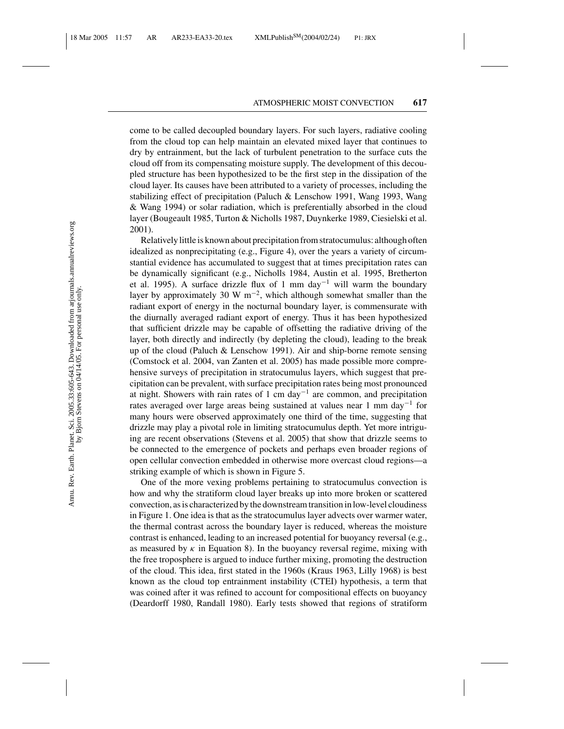come to be called decoupled boundary layers. For such layers, radiative cooling from the cloud top can help maintain an elevated mixed layer that continues to dry by entrainment, but the lack of turbulent penetration to the surface cuts the cloud off from its compensating moisture supply. The development of this decoupled structure has been hypothesized to be the first step in the dissipation of the cloud layer. Its causes have been attributed to a variety of processes, including the stabilizing effect of precipitation (Paluch & Lenschow 1991, Wang 1993, Wang & Wang 1994) or solar radiation, which is preferentially absorbed in the cloud layer (Bougeault 1985, Turton & Nicholls 1987, Duynkerke 1989, Ciesielski et al. 2001).

Relatively little is known about precipitation from stratocumulus: although often idealized as nonprecipitating (e.g., Figure 4), over the years a variety of circumstantial evidence has accumulated to suggest that at times precipitation rates can be dynamically significant (e.g., Nicholls 1984, Austin et al. 1995, Bretherton et al. 1995). A surface drizzle flux of 1 mm day<sup>-1</sup> will warm the boundary layer by approximately 30 W m<sup>-2</sup>, which although somewhat smaller than the radiant export of energy in the nocturnal boundary layer, is commensurate with the diurnally averaged radiant export of energy. Thus it has been hypothesized that sufficient drizzle may be capable of offsetting the radiative driving of the layer, both directly and indirectly (by depleting the cloud), leading to the break up of the cloud (Paluch & Lenschow 1991). Air and ship-borne remote sensing (Comstock et al. 2004, van Zanten et al. 2005) has made possible more comprehensive surveys of precipitation in stratocumulus layers, which suggest that precipitation can be prevalent, with surface precipitation rates being most pronounced at night. Showers with rain rates of 1 cm day<sup>−</sup><sup>1</sup> are common, and precipitation rates averaged over large areas being sustained at values near 1 mm day<sup>−</sup><sup>1</sup> for many hours were observed approximately one third of the time, suggesting that drizzle may play a pivotal role in limiting stratocumulus depth. Yet more intriguing are recent observations (Stevens et al. 2005) that show that drizzle seems to be connected to the emergence of pockets and perhaps even broader regions of open cellular convection embedded in otherwise more overcast cloud regions—a striking example of which is shown in Figure 5.

One of the more vexing problems pertaining to stratocumulus convection is how and why the stratiform cloud layer breaks up into more broken or scattered convection, as is characterized by the downstream transition in low-level cloudiness in Figure 1. One idea is that as the stratocumulus layer advects over warmer water, the thermal contrast across the boundary layer is reduced, whereas the moisture contrast is enhanced, leading to an increased potential for buoyancy reversal (e.g., as measured by  $\kappa$  in Equation 8). In the buoyancy reversal regime, mixing with the free troposphere is argued to induce further mixing, promoting the destruction of the cloud. This idea, first stated in the 1960s (Kraus 1963, Lilly 1968) is best known as the cloud top entrainment instability (CTEI) hypothesis, a term that was coined after it was refined to account for compositional effects on buoyancy (Deardorff 1980, Randall 1980). Early tests showed that regions of stratiform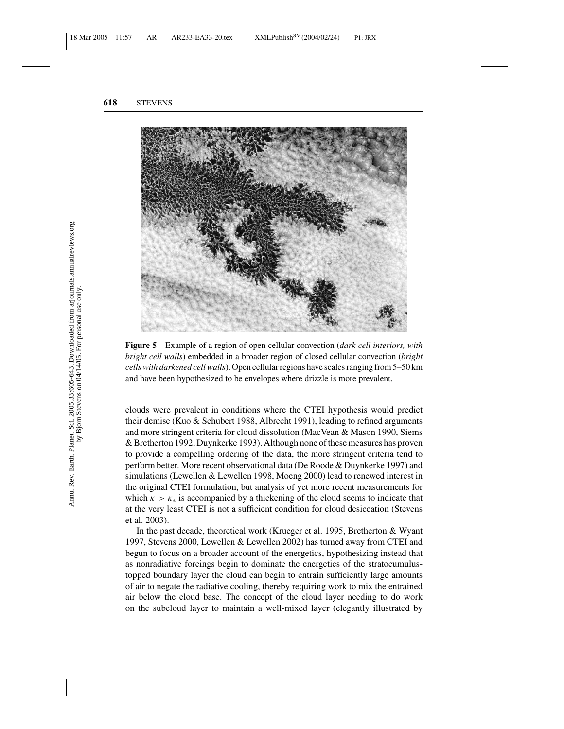

**Figure 5** Example of a region of open cellular convection (*dark cell interiors, with bright cell walls*) embedded in a broader region of closed cellular convection (*bright cells with darkened cell walls*). Open cellular regions have scales ranging from 5–50 km and have been hypothesized to be envelopes where drizzle is more prevalent.

clouds were prevalent in conditions where the CTEI hypothesis would predict their demise (Kuo & Schubert 1988, Albrecht 1991), leading to refined arguments and more stringent criteria for cloud dissolution (MacVean & Mason 1990, Siems &Bretherton 1992, Duynkerke 1993). Although none of these measures has proven to provide a compelling ordering of the data, the more stringent criteria tend to perform better. More recent observational data (De Roode & Duynkerke 1997) and simulations (Lewellen & Lewellen 1998, Moeng 2000) lead to renewed interest in the original CTEI formulation, but analysis of yet more recent measurements for which  $\kappa > \kappa_*$  is accompanied by a thickening of the cloud seems to indicate that at the very least CTEI is not a sufficient condition for cloud desiccation (Stevens et al. 2003).

In the past decade, theoretical work (Krueger et al. 1995, Bretherton & Wyant 1997, Stevens 2000, Lewellen & Lewellen 2002) has turned away from CTEI and begun to focus on a broader account of the energetics, hypothesizing instead that as nonradiative forcings begin to dominate the energetics of the stratocumulustopped boundary layer the cloud can begin to entrain sufficiently large amounts of air to negate the radiative cooling, thereby requiring work to mix the entrained air below the cloud base. The concept of the cloud layer needing to do work on the subcloud layer to maintain a well-mixed layer (elegantly illustrated by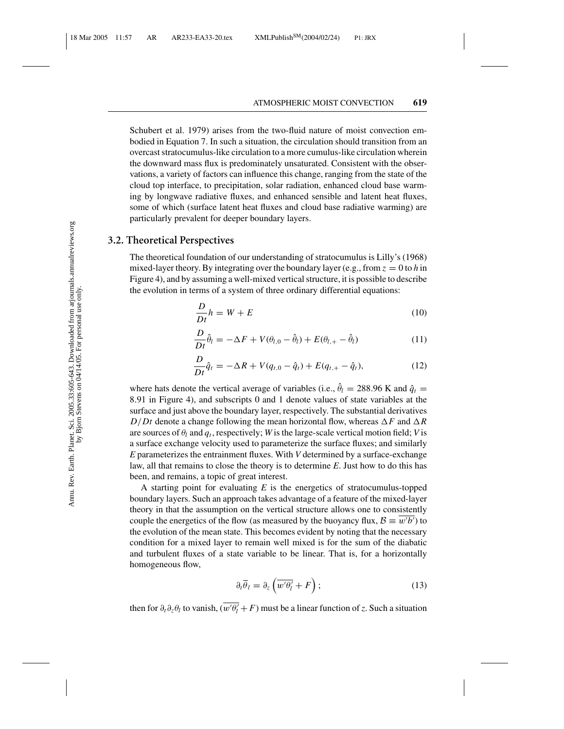Schubert et al. 1979) arises from the two-fluid nature of moist convection embodied in Equation 7. In such a situation, the circulation should transition from an overcast stratocumulus-like circulation to a more cumulus-like circulation wherein the downward mass flux is predominately unsaturated. Consistent with the observations, a variety of factors can influence this change, ranging from the state of the cloud top interface, to precipitation, solar radiation, enhanced cloud base warming by longwave radiative fluxes, and enhanced sensible and latent heat fluxes, some of which (surface latent heat fluxes and cloud base radiative warming) are particularly prevalent for deeper boundary layers.

#### **3.2. Theoretical Perspectives**

The theoretical foundation of our understanding of stratocumulus is Lilly's (1968) mixed-layer theory. By integrating over the boundary layer (e.g., from  $z = 0$  to h in Figure 4), and by assuming a well-mixed vertical structure, it is possible to describe the evolution in terms of a system of three ordinary differential equations:

$$
\frac{D}{Dt}h = W + E \tag{10}
$$

$$
\frac{D}{Dt}\hat{\theta}_l = -\Delta F + V(\theta_{l,0} - \hat{\theta}_l) + E(\theta_{l,+} - \hat{\theta}_l)
$$
\n(11)

$$
\frac{D}{Dt}\hat{q}_t = -\Delta R + V(q_{t,0} - \hat{q}_t) + E(q_{t,+} - \hat{q}_t),
$$
\n(12)

where hats denote the vertical average of variables (i.e.,  $\hat{\theta}_l = 288.96$  K and  $\hat{q}_t =$ 8.91 in Figure 4), and subscripts 0 and 1 denote values of state variables at the surface and just above the boundary layer, respectively. The substantial derivatives  $D/Dt$  denote a change following the mean horizontal flow, whereas  $\Delta F$  and  $\Delta R$ are sources of  $\theta_l$  and  $q_t$ , respectively; *W* is the large-scale vertical motion field; *V* is a surface exchange velocity used to parameterize the surface fluxes; and similarly *E* parameterizes the entrainment fluxes. With *V* determined by a surface-exchange law, all that remains to close the theory is to determine *E*. Just how to do this has been, and remains, a topic of great interest.

A starting point for evaluating *E* is the energetics of stratocumulus-topped boundary layers. Such an approach takes advantage of a feature of the mixed-layer theory in that the assumption on the vertical structure allows one to consistently couple the energetics of the flow (as measured by the buoyancy flux,  $B \equiv \overline{w'b'}$ ) to the evolution of the mean state. This becomes evident by noting that the necessary condition for a mixed layer to remain well mixed is for the sum of the diabatic and turbulent fluxes of a state variable to be linear. That is, for a horizontally homogeneous flow,

$$
\partial_t \overline{\theta}_l = \partial_z \left( \overline{w' \theta'_l} + F \right); \tag{13}
$$

then for  $\partial_t \partial_z \partial_l$  to vanish,  $(\overline{w' \theta'_l} + F)$  must be a linear function of *z*. Such a situation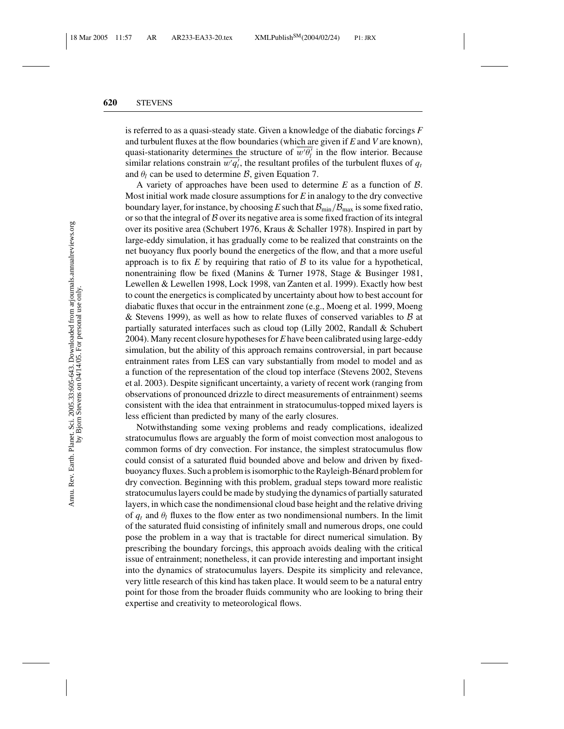is referred to as a quasi-steady state. Given a knowledge of the diabatic forcings *F* and turbulent fluxes at the flow boundaries (which are given if *E* and *V* are known), quasi-stationarity determines the structure of  $\overline{w' \theta'_l}$  in the flow interior. Because similar relations constrain  $\overline{w'q_t'}$ , the resultant profiles of the turbulent fluxes of  $q_t$ and  $\theta_l$  can be used to determine  $\beta$ , given Equation 7.

A variety of approaches have been used to determine *E* as a function of B. Most initial work made closure assumptions for *E* in analogy to the dry convective boundary layer, for instance, by choosing *E* such that  $B_{\text{min}}/B_{\text{max}}$  is some fixed ratio, or so that the integral of  $\beta$  over its negative area is some fixed fraction of its integral over its positive area (Schubert 1976, Kraus & Schaller 1978). Inspired in part by large-eddy simulation, it has gradually come to be realized that constraints on the net buoyancy flux poorly bound the energetics of the flow, and that a more useful approach is to fix  $E$  by requiring that ratio of  $\beta$  to its value for a hypothetical, nonentraining flow be fixed (Manins & Turner 1978, Stage & Businger 1981, Lewellen & Lewellen 1998, Lock 1998, van Zanten et al. 1999). Exactly how best to count the energetics is complicated by uncertainty about how to best account for diabatic fluxes that occur in the entrainment zone (e.g., Moeng et al. 1999, Moeng & Stevens 1999), as well as how to relate fluxes of conserved variables to  $\beta$  at partially saturated interfaces such as cloud top (Lilly 2002, Randall & Schubert 2004). Many recent closure hypotheses for *E* have been calibrated using large-eddy simulation, but the ability of this approach remains controversial, in part because entrainment rates from LES can vary substantially from model to model and as a function of the representation of the cloud top interface (Stevens 2002, Stevens et al. 2003). Despite significant uncertainty, a variety of recent work (ranging from observations of pronounced drizzle to direct measurements of entrainment) seems consistent with the idea that entrainment in stratocumulus-topped mixed layers is less efficient than predicted by many of the early closures.

Notwithstanding some vexing problems and ready complications, idealized stratocumulus flows are arguably the form of moist convection most analogous to common forms of dry convection. For instance, the simplest stratocumulus flow could consist of a saturated fluid bounded above and below and driven by fixedbuoyancy fluxes. Such a problem is isomorphic to the Rayleigh-Bénard problem for dry convection. Beginning with this problem, gradual steps toward more realistic stratocumulus layers could be made by studying the dynamics of partially saturated layers, in which case the nondimensional cloud base height and the relative driving of  $q_t$  and  $\theta_l$  fluxes to the flow enter as two nondimensional numbers. In the limit of the saturated fluid consisting of infinitely small and numerous drops, one could pose the problem in a way that is tractable for direct numerical simulation. By prescribing the boundary forcings, this approach avoids dealing with the critical issue of entrainment; nonetheless, it can provide interesting and important insight into the dynamics of stratocumulus layers. Despite its simplicity and relevance, very little research of this kind has taken place. It would seem to be a natural entry point for those from the broader fluids community who are looking to bring their expertise and creativity to meteorological flows.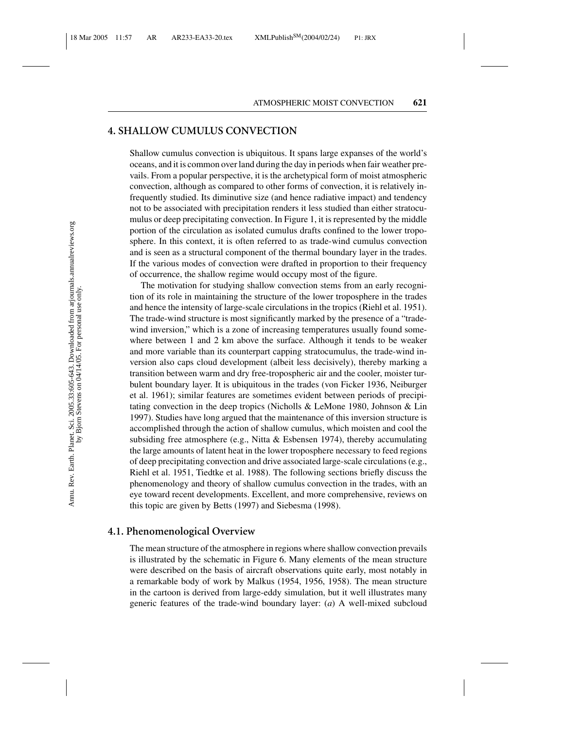#### **4. SHALLOW CUMULUS CONVECTION**

Shallow cumulus convection is ubiquitous. It spans large expanses of the world's oceans, and it is common over land during the day in periods when fair weather prevails. From a popular perspective, it is the archetypical form of moist atmospheric convection, although as compared to other forms of convection, it is relatively infrequently studied. Its diminutive size (and hence radiative impact) and tendency not to be associated with precipitation renders it less studied than either stratocumulus or deep precipitating convection. In Figure 1, it is represented by the middle portion of the circulation as isolated cumulus drafts confined to the lower troposphere. In this context, it is often referred to as trade-wind cumulus convection and is seen as a structural component of the thermal boundary layer in the trades. If the various modes of convection were drafted in proportion to their frequency of occurrence, the shallow regime would occupy most of the figure.

The motivation for studying shallow convection stems from an early recognition of its role in maintaining the structure of the lower troposphere in the trades and hence the intensity of large-scale circulations in the tropics (Riehl et al. 1951). The trade-wind structure is most significantly marked by the presence of a "tradewind inversion," which is a zone of increasing temperatures usually found somewhere between 1 and 2 km above the surface. Although it tends to be weaker and more variable than its counterpart capping stratocumulus, the trade-wind inversion also caps cloud development (albeit less decisively), thereby marking a transition between warm and dry free-tropospheric air and the cooler, moister turbulent boundary layer. It is ubiquitous in the trades (von Ficker 1936, Neiburger et al. 1961); similar features are sometimes evident between periods of precipitating convection in the deep tropics (Nicholls & LeMone 1980, Johnson & Lin 1997). Studies have long argued that the maintenance of this inversion structure is accomplished through the action of shallow cumulus, which moisten and cool the subsiding free atmosphere (e.g., Nitta & Esbensen 1974), thereby accumulating the large amounts of latent heat in the lower troposphere necessary to feed regions of deep precipitating convection and drive associated large-scale circulations (e.g., Riehl et al. 1951, Tiedtke et al. 1988). The following sections briefly discuss the phenomenology and theory of shallow cumulus convection in the trades, with an eye toward recent developments. Excellent, and more comprehensive, reviews on this topic are given by Betts (1997) and Siebesma (1998).

## **4.1. Phenomenological Overview**

The mean structure of the atmosphere in regions where shallow convection prevails is illustrated by the schematic in Figure 6. Many elements of the mean structure were described on the basis of aircraft observations quite early, most notably in a remarkable body of work by Malkus (1954, 1956, 1958). The mean structure in the cartoon is derived from large-eddy simulation, but it well illustrates many generic features of the trade-wind boundary layer: (*a*) A well-mixed subcloud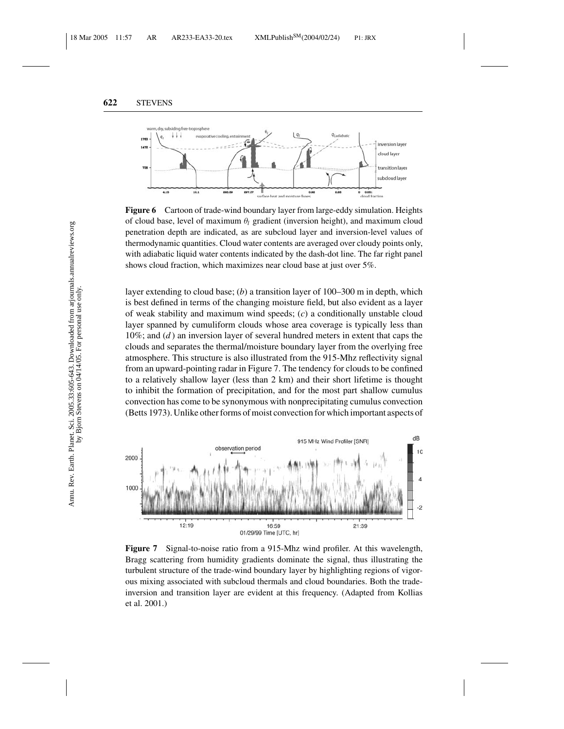

**Figure 6** Cartoon of trade-wind boundary layer from large-eddy simulation. Heights of cloud base, level of maximum  $\theta_l$  gradient (inversion height), and maximum cloud penetration depth are indicated, as are subcloud layer and inversion-level values of thermodynamic quantities. Cloud water contents are averaged over cloudy points only, with adiabatic liquid water contents indicated by the dash-dot line. The far right panel shows cloud fraction, which maximizes near cloud base at just over 5%.

layer extending to cloud base; (*b*) a transition layer of 100–300 m in depth, which is best defined in terms of the changing moisture field, but also evident as a layer of weak stability and maximum wind speeds; (*c*) a conditionally unstable cloud layer spanned by cumuliform clouds whose area coverage is typically less than 10%; and (*d* ) an inversion layer of several hundred meters in extent that caps the clouds and separates the thermal/moisture boundary layer from the overlying free atmosphere. This structure is also illustrated from the 915-Mhz reflectivity signal from an upward-pointing radar in Figure 7. The tendency for clouds to be confined to a relatively shallow layer (less than 2 km) and their short lifetime is thought to inhibit the formation of precipitation, and for the most part shallow cumulus convection has come to be synonymous with nonprecipitating cumulus convection (Betts 1973). Unlike other forms of moist convection for which important aspects of



**Figure 7** Signal-to-noise ratio from a 915-Mhz wind profiler. At this wavelength, Bragg scattering from humidity gradients dominate the signal, thus illustrating the turbulent structure of the trade-wind boundary layer by highlighting regions of vigorous mixing associated with subcloud thermals and cloud boundaries. Both the tradeinversion and transition layer are evident at this frequency. (Adapted from Kollias et al. 2001.)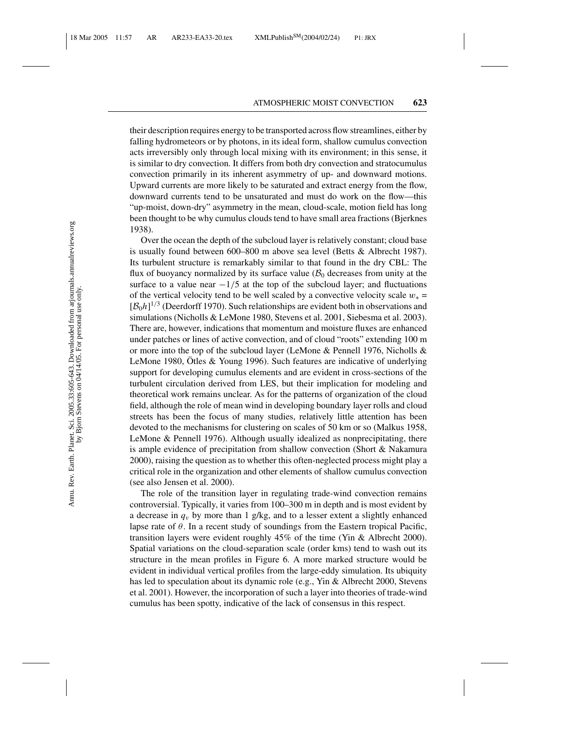their description requires energy to be transported across flow streamlines, either by falling hydrometeors or by photons, in its ideal form, shallow cumulus convection acts irreversibly only through local mixing with its environment; in this sense, it is similar to dry convection. It differs from both dry convection and stratocumulus convection primarily in its inherent asymmetry of up- and downward motions. Upward currents are more likely to be saturated and extract energy from the flow, downward currents tend to be unsaturated and must do work on the flow—this "up-moist, down-dry" asymmetry in the mean, cloud-scale, motion field has long been thought to be why cumulus clouds tend to have small area fractions (Bjerknes 1938).

Over the ocean the depth of the subcloud layer is relatively constant; cloud base is usually found between 600–800 m above sea level (Betts & Albrecht 1987). Its turbulent structure is remarkably similar to that found in the dry CBL: The flux of buoyancy normalized by its surface value  $(\mathcal{B}_0)$  decreases from unity at the surface to a value near  $-1/5$  at the top of the subcloud layer; and fluctuations of the vertical velocity tend to be well scaled by a convective velocity scale  $w_* =$  $[\mathcal{B}_0 h]^{1/3}$  (Deerdorff 1970). Such relationships are evident both in observations and simulations (Nicholls & LeMone 1980, Stevens et al. 2001, Siebesma et al. 2003). There are, however, indications that momentum and moisture fluxes are enhanced under patches or lines of active convection, and of cloud "roots" extending 100 m or more into the top of the subcloud layer (LeMone & Pennell 1976, Nicholls & LeMone 1980, Otles & Young 1996). Such features are indicative of underlying support for developing cumulus elements and are evident in cross-sections of the turbulent circulation derived from LES, but their implication for modeling and theoretical work remains unclear. As for the patterns of organization of the cloud field, although the role of mean wind in developing boundary layer rolls and cloud streets has been the focus of many studies, relatively little attention has been devoted to the mechanisms for clustering on scales of 50 km or so (Malkus 1958, LeMone & Pennell 1976). Although usually idealized as nonprecipitating, there is ample evidence of precipitation from shallow convection (Short & Nakamura 2000), raising the question as to whether this often-neglected process might play a critical role in the organization and other elements of shallow cumulus convection (see also Jensen et al. 2000).

The role of the transition layer in regulating trade-wind convection remains controversial. Typically, it varies from 100–300 m in depth and is most evident by a decrease in  $q_v$  by more than 1 g/kg, and to a lesser extent a slightly enhanced lapse rate of  $\theta$ . In a recent study of soundings from the Eastern tropical Pacific, transition layers were evident roughly 45% of the time (Yin & Albrecht 2000). Spatial variations on the cloud-separation scale (order kms) tend to wash out its structure in the mean profiles in Figure 6. A more marked structure would be evident in individual vertical profiles from the large-eddy simulation. Its ubiquity has led to speculation about its dynamic role (e.g., Yin & Albrecht 2000, Stevens et al. 2001). However, the incorporation of such a layer into theories of trade-wind cumulus has been spotty, indicative of the lack of consensus in this respect.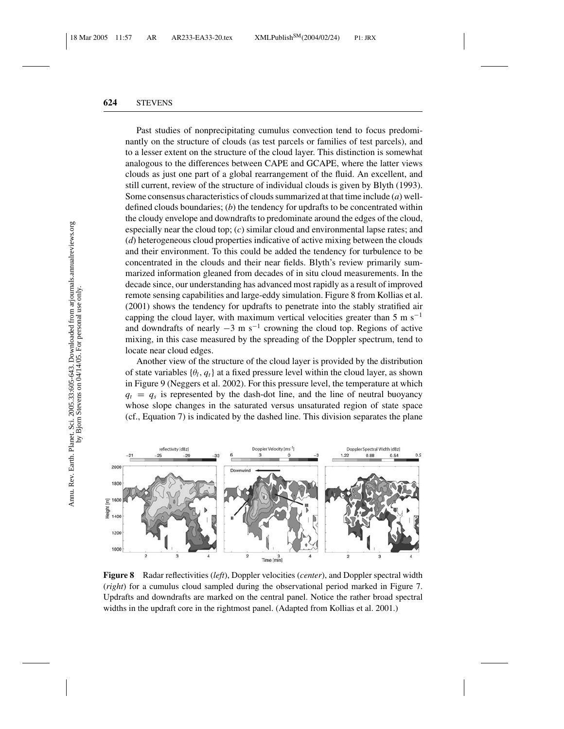Past studies of nonprecipitating cumulus convection tend to focus predominantly on the structure of clouds (as test parcels or families of test parcels), and to a lesser extent on the structure of the cloud layer. This distinction is somewhat analogous to the differences between CAPE and GCAPE, where the latter views clouds as just one part of a global rearrangement of the fluid. An excellent, and still current, review of the structure of individual clouds is given by Blyth (1993). Some consensus characteristics of clouds summarized at that time include (*a*) welldefined clouds boundaries; (*b*) the tendency for updrafts to be concentrated within the cloudy envelope and downdrafts to predominate around the edges of the cloud, especially near the cloud top; (*c*) similar cloud and environmental lapse rates; and (*d*) heterogeneous cloud properties indicative of active mixing between the clouds and their environment. To this could be added the tendency for turbulence to be concentrated in the clouds and their near fields. Blyth's review primarily summarized information gleaned from decades of in situ cloud measurements. In the decade since, our understanding has advanced most rapidly as a result of improved remote sensing capabilities and large-eddy simulation. Figure 8 from Kollias et al. (2001) shows the tendency for updrafts to penetrate into the stably stratified air capping the cloud layer, with maximum vertical velocities greater than 5 m s<sup>-1</sup> and downdrafts of nearly  $-3$  m s<sup>-1</sup> crowning the cloud top. Regions of active mixing, in this case measured by the spreading of the Doppler spectrum, tend to locate near cloud edges.

Another view of the structure of the cloud layer is provided by the distribution of state variables  $\{\theta_l, q_t\}$  at a fixed pressure level within the cloud layer, as shown in Figure 9 (Neggers et al. 2002). For this pressure level, the temperature at which  $q_t = q_s$  is represented by the dash-dot line, and the line of neutral buoyancy whose slope changes in the saturated versus unsaturated region of state space (cf., Equation 7) is indicated by the dashed line. This division separates the plane



**Figure 8** Radar reflectivities (*left*), Doppler velocities (*center*), and Doppler spectral width (*right*) for a cumulus cloud sampled during the observational period marked in Figure 7. Updrafts and downdrafts are marked on the central panel. Notice the rather broad spectral widths in the updraft core in the rightmost panel. (Adapted from Kollias et al. 2001.)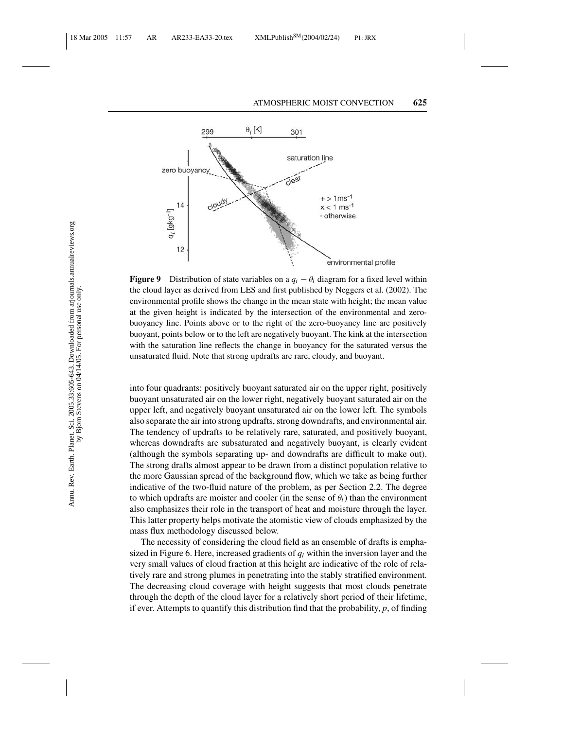

**Figure 9** Distribution of state variables on a  $q_t - \theta_l$  diagram for a fixed level within the cloud layer as derived from LES and first published by Neggers et al. (2002). The environmental profile shows the change in the mean state with height; the mean value at the given height is indicated by the intersection of the environmental and zerobuoyancy line. Points above or to the right of the zero-buoyancy line are positively buoyant, points below or to the left are negatively buoyant. The kink at the intersection with the saturation line reflects the change in buoyancy for the saturated versus the unsaturated fluid. Note that strong updrafts are rare, cloudy, and buoyant.

into four quadrants: positively buoyant saturated air on the upper right, positively buoyant unsaturated air on the lower right, negatively buoyant saturated air on the upper left, and negatively buoyant unsaturated air on the lower left. The symbols also separate the air into strong updrafts, strong downdrafts, and environmental air. The tendency of updrafts to be relatively rare, saturated, and positively buoyant, whereas downdrafts are subsaturated and negatively buoyant, is clearly evident (although the symbols separating up- and downdrafts are difficult to make out). The strong drafts almost appear to be drawn from a distinct population relative to the more Gaussian spread of the background flow, which we take as being further indicative of the two-fluid nature of the problem, as per Section 2.2. The degree to which updrafts are moister and cooler (in the sense of  $\theta$ ) than the environment also emphasizes their role in the transport of heat and moisture through the layer. This latter property helps motivate the atomistic view of clouds emphasized by the mass flux methodology discussed below.

The necessity of considering the cloud field as an ensemble of drafts is emphasized in Figure 6. Here, increased gradients of  $q_l$  within the inversion layer and the very small values of cloud fraction at this height are indicative of the role of relatively rare and strong plumes in penetrating into the stably stratified environment. The decreasing cloud coverage with height suggests that most clouds penetrate through the depth of the cloud layer for a relatively short period of their lifetime, if ever. Attempts to quantify this distribution find that the probability, *p*, of finding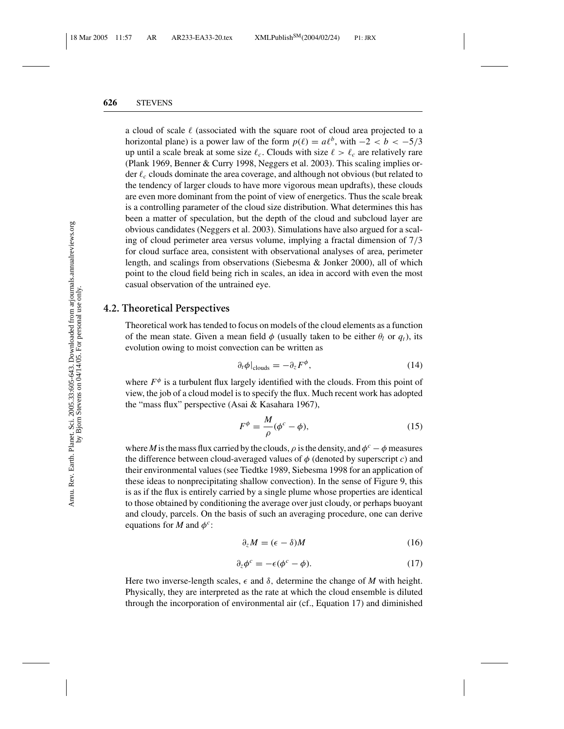a cloud of scale  $\ell$  (associated with the square root of cloud area projected to a horizontal plane) is a power law of the form  $p(\ell) = a\ell^b$ , with  $-2 < b < -5/3$ up until a scale break at some size  $\ell_c$ . Clouds with size  $\ell > \ell_c$  are relatively rare (Plank 1969, Benner & Curry 1998, Neggers et al. 2003). This scaling implies order  $\ell_c$  clouds dominate the area coverage, and although not obvious (but related to the tendency of larger clouds to have more vigorous mean updrafts), these clouds are even more dominant from the point of view of energetics. Thus the scale break is a controlling parameter of the cloud size distribution. What determines this has been a matter of speculation, but the depth of the cloud and subcloud layer are obvious candidates (Neggers et al. 2003). Simulations have also argued for a scaling of cloud perimeter area versus volume, implying a fractal dimension of 7/3 for cloud surface area, consistent with observational analyses of area, perimeter length, and scalings from observations (Siebesma & Jonker 2000), all of which point to the cloud field being rich in scales, an idea in accord with even the most casual observation of the untrained eye.

#### **4.2. Theoretical Perspectives**

Theoretical work has tended to focus on models of the cloud elements as a function of the mean state. Given a mean field  $\phi$  (usually taken to be either  $\theta_l$  or  $q_t$ ), its evolution owing to moist convection can be written as

$$
\partial_t \phi|_{\text{clouds}} = -\partial_z F^{\phi},\tag{14}
$$

where  $F^{\phi}$  is a turbulent flux largely identified with the clouds. From this point of view, the job of a cloud model is to specify the flux. Much recent work has adopted the "mass flux" perspective (Asai & Kasahara 1967),

$$
F^{\phi} = \frac{M}{\rho} (\phi^c - \phi), \tag{15}
$$

where *M* is the mass flux carried by the clouds,  $\rho$  is the density, and  $\phi^c - \phi$  measures the difference between cloud-averaged values of  $\phi$  (denoted by superscript *c*) and their environmental values (see Tiedtke 1989, Siebesma 1998 for an application of these ideas to nonprecipitating shallow convection). In the sense of Figure 9, this is as if the flux is entirely carried by a single plume whose properties are identical to those obtained by conditioning the average over just cloudy, or perhaps buoyant and cloudy, parcels. On the basis of such an averaging procedure, one can derive equations for *M* and  $\phi^c$ :

$$
\partial_z M = (\epsilon - \delta)M \tag{16}
$$

$$
\partial_z \phi^c = -\epsilon (\phi^c - \phi). \tag{17}
$$

Here two inverse-length scales,  $\epsilon$  and  $\delta$ , determine the change of *M* with height. Physically, they are interpreted as the rate at which the cloud ensemble is diluted through the incorporation of environmental air (cf., Equation 17) and diminished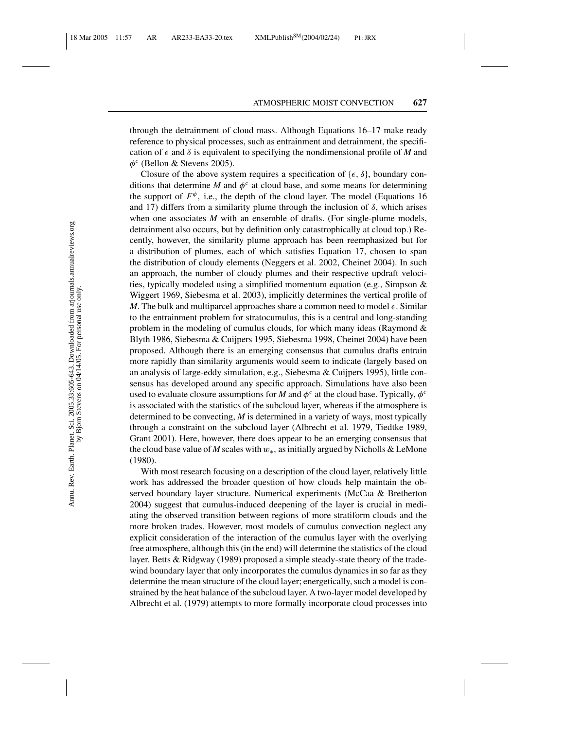through the detrainment of cloud mass. Although Equations 16–17 make ready reference to physical processes, such as entrainment and detrainment, the specification of  $\epsilon$  and  $\delta$  is equivalent to specifying the nondimensional profile of *M* and  $\phi^c$  (Bellon & Stevens 2005).

Closure of the above system requires a specification of  $\{\epsilon, \delta\}$ , boundary conditions that determine *M* and  $\phi^c$  at cloud base, and some means for determining the support of  $F^{\phi}$ , i.e., the depth of the cloud layer. The model (Equations 16) and 17) differs from a similarity plume through the inclusion of  $\delta$ , which arises when one associates *M* with an ensemble of drafts. (For single-plume models, detrainment also occurs, but by definition only catastrophically at cloud top.) Recently, however, the similarity plume approach has been reemphasized but for a distribution of plumes, each of which satisfies Equation 17, chosen to span the distribution of cloudy elements (Neggers et al. 2002, Cheinet 2004). In such an approach, the number of cloudy plumes and their respective updraft velocities, typically modeled using a simplified momentum equation (e.g., Simpson & Wiggert 1969, Siebesma et al. 2003), implicitly determines the vertical profile of *M*. The bulk and multiparcel approaches share a common need to model  $\epsilon$ . Similar to the entrainment problem for stratocumulus, this is a central and long-standing problem in the modeling of cumulus clouds, for which many ideas (Raymond  $\&$ Blyth 1986, Siebesma & Cuijpers 1995, Siebesma 1998, Cheinet 2004) have been proposed. Although there is an emerging consensus that cumulus drafts entrain more rapidly than similarity arguments would seem to indicate (largely based on an analysis of large-eddy simulation, e.g., Siebesma & Cuijpers 1995), little consensus has developed around any specific approach. Simulations have also been used to evaluate closure assumptions for *M* and  $\phi^c$  at the cloud base. Typically,  $\phi^c$ is associated with the statistics of the subcloud layer, whereas if the atmosphere is determined to be convecting, *M* is determined in a variety of ways, most typically through a constraint on the subcloud layer (Albrecht et al. 1979, Tiedtke 1989, Grant 2001). Here, however, there does appear to be an emerging consensus that the cloud base value of *M* scales with w∗, as initially argued by Nicholls & LeMone (1980).

With most research focusing on a description of the cloud layer, relatively little work has addressed the broader question of how clouds help maintain the observed boundary layer structure. Numerical experiments (McCaa & Bretherton 2004) suggest that cumulus-induced deepening of the layer is crucial in mediating the observed transition between regions of more stratiform clouds and the more broken trades. However, most models of cumulus convection neglect any explicit consideration of the interaction of the cumulus layer with the overlying free atmosphere, although this (in the end) will determine the statistics of the cloud layer. Betts & Ridgway (1989) proposed a simple steady-state theory of the tradewind boundary layer that only incorporates the cumulus dynamics in so far as they determine the mean structure of the cloud layer; energetically, such a model is constrained by the heat balance of the subcloud layer. A two-layer model developed by Albrecht et al. (1979) attempts to more formally incorporate cloud processes into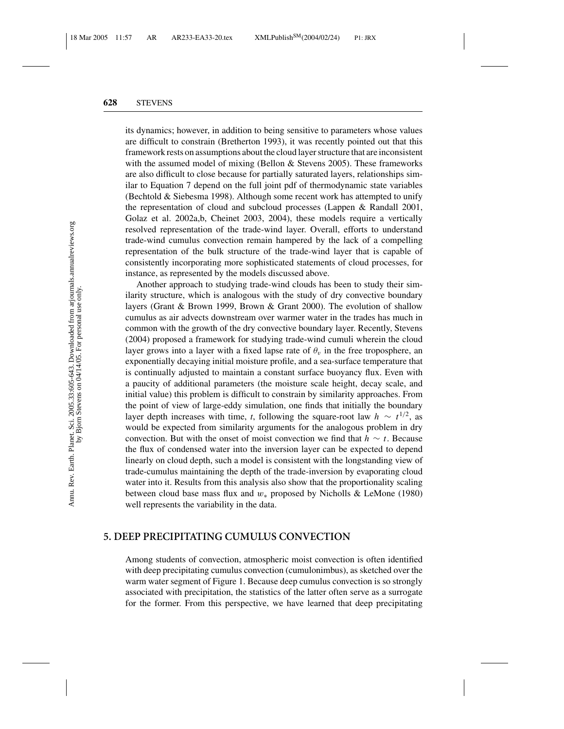its dynamics; however, in addition to being sensitive to parameters whose values are difficult to constrain (Bretherton 1993), it was recently pointed out that this framework rests on assumptions about the cloud layer structure that are inconsistent with the assumed model of mixing (Bellon  $&$  Stevens 2005). These frameworks are also difficult to close because for partially saturated layers, relationships similar to Equation 7 depend on the full joint pdf of thermodynamic state variables (Bechtold & Siebesma 1998). Although some recent work has attempted to unify the representation of cloud and subcloud processes (Lappen & Randall 2001, Golaz et al. 2002a,b, Cheinet 2003, 2004), these models require a vertically resolved representation of the trade-wind layer. Overall, efforts to understand trade-wind cumulus convection remain hampered by the lack of a compelling representation of the bulk structure of the trade-wind layer that is capable of consistently incorporating more sophisticated statements of cloud processes, for instance, as represented by the models discussed above.

Another approach to studying trade-wind clouds has been to study their similarity structure, which is analogous with the study of dry convective boundary layers (Grant & Brown 1999, Brown & Grant 2000). The evolution of shallow cumulus as air advects downstream over warmer water in the trades has much in common with the growth of the dry convective boundary layer. Recently, Stevens (2004) proposed a framework for studying trade-wind cumuli wherein the cloud layer grows into a layer with a fixed lapse rate of  $\theta$ <sub>v</sub> in the free troposphere, an exponentially decaying initial moisture profile, and a sea-surface temperature that is continually adjusted to maintain a constant surface buoyancy flux. Even with a paucity of additional parameters (the moisture scale height, decay scale, and initial value) this problem is difficult to constrain by similarity approaches. From the point of view of large-eddy simulation, one finds that initially the boundary layer depth increases with time, *t*, following the square-root law  $h \sim t^{1/2}$ , as would be expected from similarity arguments for the analogous problem in dry convection. But with the onset of moist convection we find that  $h \sim t$ . Because the flux of condensed water into the inversion layer can be expected to depend linearly on cloud depth, such a model is consistent with the longstanding view of trade-cumulus maintaining the depth of the trade-inversion by evaporating cloud water into it. Results from this analysis also show that the proportionality scaling between cloud base mass flux and  $w_*$  proposed by Nicholls & LeMone (1980) well represents the variability in the data.

#### **5. DEEP PRECIPITATING CUMULUS CONVECTION**

Among students of convection, atmospheric moist convection is often identified with deep precipitating cumulus convection (cumulonimbus), as sketched over the warm water segment of Figure 1. Because deep cumulus convection is so strongly associated with precipitation, the statistics of the latter often serve as a surrogate for the former. From this perspective, we have learned that deep precipitating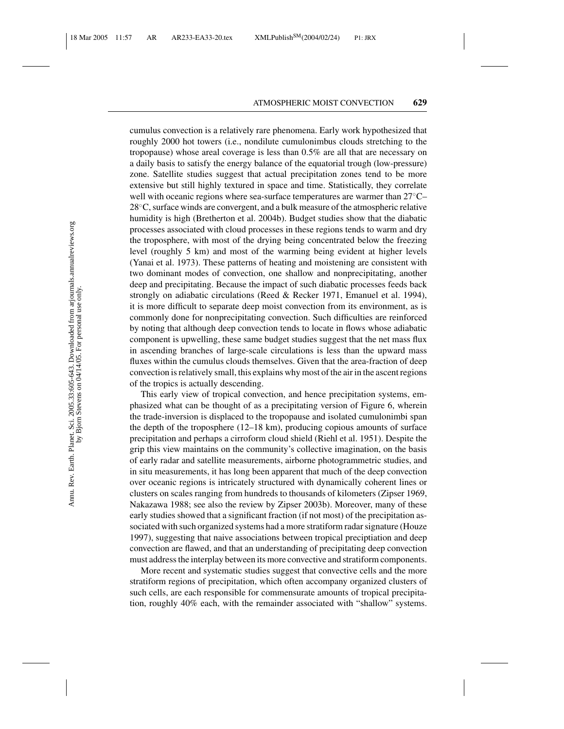cumulus convection is a relatively rare phenomena. Early work hypothesized that roughly 2000 hot towers (i.e., nondilute cumulonimbus clouds stretching to the tropopause) whose areal coverage is less than 0.5% are all that are necessary on a daily basis to satisfy the energy balance of the equatorial trough (low-pressure) zone. Satellite studies suggest that actual precipitation zones tend to be more extensive but still highly textured in space and time. Statistically, they correlate well with oceanic regions where sea-surface temperatures are warmer than 27°C–  $28\degree$ C, surface winds are convergent, and a bulk measure of the atmospheric relative humidity is high (Bretherton et al. 2004b). Budget studies show that the diabatic processes associated with cloud processes in these regions tends to warm and dry the troposphere, with most of the drying being concentrated below the freezing level (roughly 5 km) and most of the warming being evident at higher levels (Yanai et al. 1973). These patterns of heating and moistening are consistent with two dominant modes of convection, one shallow and nonprecipitating, another deep and precipitating. Because the impact of such diabatic processes feeds back strongly on adiabatic circulations (Reed & Recker 1971, Emanuel et al. 1994), it is more difficult to separate deep moist convection from its environment, as is commonly done for nonprecipitating convection. Such difficulties are reinforced by noting that although deep convection tends to locate in flows whose adiabatic component is upwelling, these same budget studies suggest that the net mass flux in ascending branches of large-scale circulations is less than the upward mass fluxes within the cumulus clouds themselves. Given that the area-fraction of deep convection is relatively small, this explains why most of the air in the ascent regions of the tropics is actually descending.

This early view of tropical convection, and hence precipitation systems, emphasized what can be thought of as a precipitating version of Figure 6, wherein the trade-inversion is displaced to the tropopause and isolated cumulonimbi span the depth of the troposphere (12–18 km), producing copious amounts of surface precipitation and perhaps a cirroform cloud shield (Riehl et al. 1951). Despite the grip this view maintains on the community's collective imagination, on the basis of early radar and satellite measurements, airborne photogrammetric studies, and in situ measurements, it has long been apparent that much of the deep convection over oceanic regions is intricately structured with dynamically coherent lines or clusters on scales ranging from hundreds to thousands of kilometers (Zipser 1969, Nakazawa 1988; see also the review by Zipser 2003b). Moreover, many of these early studies showed that a significant fraction (if not most) of the precipitation associated with such organized systems had a more stratiform radar signature (Houze 1997), suggesting that naive associations between tropical preciptiation and deep convection are flawed, and that an understanding of precipitating deep convection must address the interplay between its more convective and stratiform components.

More recent and systematic studies suggest that convective cells and the more stratiform regions of precipitation, which often accompany organized clusters of such cells, are each responsible for commensurate amounts of tropical precipitation, roughly 40% each, with the remainder associated with "shallow" systems.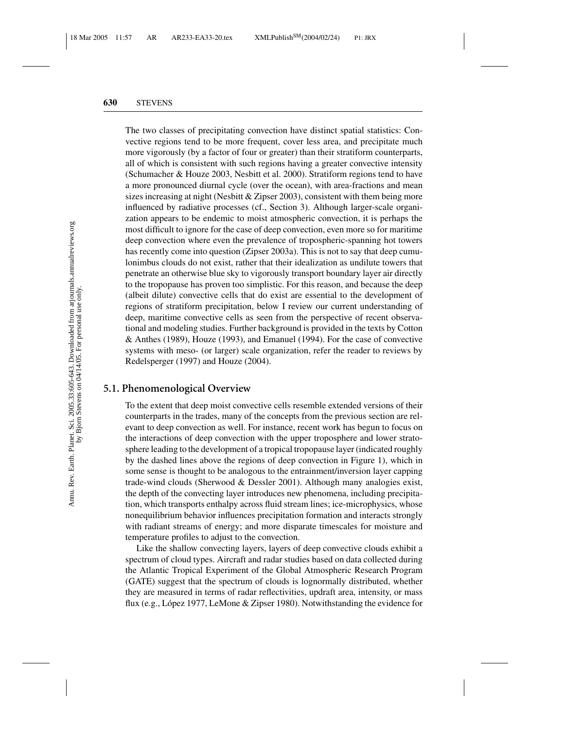The two classes of precipitating convection have distinct spatial statistics: Convective regions tend to be more frequent, cover less area, and precipitate much more vigorously (by a factor of four or greater) than their stratiform counterparts, all of which is consistent with such regions having a greater convective intensity (Schumacher & Houze 2003, Nesbitt et al. 2000). Stratiform regions tend to have a more pronounced diurnal cycle (over the ocean), with area-fractions and mean sizes increasing at night (Nesbitt & Zipser 2003), consistent with them being more influenced by radiative processes (cf., Section 3). Although larger-scale organization appears to be endemic to moist atmospheric convection, it is perhaps the most difficult to ignore for the case of deep convection, even more so for maritime deep convection where even the prevalence of tropospheric-spanning hot towers has recently come into question (Zipser 2003a). This is not to say that deep cumulonimbus clouds do not exist, rather that their idealization as undilute towers that penetrate an otherwise blue sky to vigorously transport boundary layer air directly to the tropopause has proven too simplistic. For this reason, and because the deep (albeit dilute) convective cells that do exist are essential to the development of regions of stratiform precipitation, below I review our current understanding of deep, maritime convective cells as seen from the perspective of recent observational and modeling studies. Further background is provided in the texts by Cotton & Anthes (1989), Houze (1993), and Emanuel (1994). For the case of convective systems with meso- (or larger) scale organization, refer the reader to reviews by Redelsperger (1997) and Houze (2004).

#### **5.1. Phenomenological Overview**

To the extent that deep moist convective cells resemble extended versions of their counterparts in the trades, many of the concepts from the previous section are relevant to deep convection as well. For instance, recent work has begun to focus on the interactions of deep convection with the upper troposphere and lower stratosphere leading to the development of a tropical tropopause layer (indicated roughly by the dashed lines above the regions of deep convection in Figure 1), which in some sense is thought to be analogous to the entrainment/inversion layer capping trade-wind clouds (Sherwood & Dessler 2001). Although many analogies exist, the depth of the convecting layer introduces new phenomena, including precipitation, which transports enthalpy across fluid stream lines; ice-microphysics, whose nonequilibrium behavior influences precipitation formation and interacts strongly with radiant streams of energy; and more disparate timescales for moisture and temperature profiles to adjust to the convection.

Like the shallow convecting layers, layers of deep convective clouds exhibit a spectrum of cloud types. Aircraft and radar studies based on data collected during the Atlantic Tropical Experiment of the Global Atmospheric Research Program (GATE) suggest that the spectrum of clouds is lognormally distributed, whether they are measured in terms of radar reflectivities, updraft area, intensity, or mass flux (e.g., López 1977, LeMone & Zipser 1980). Notwithstanding the evidence for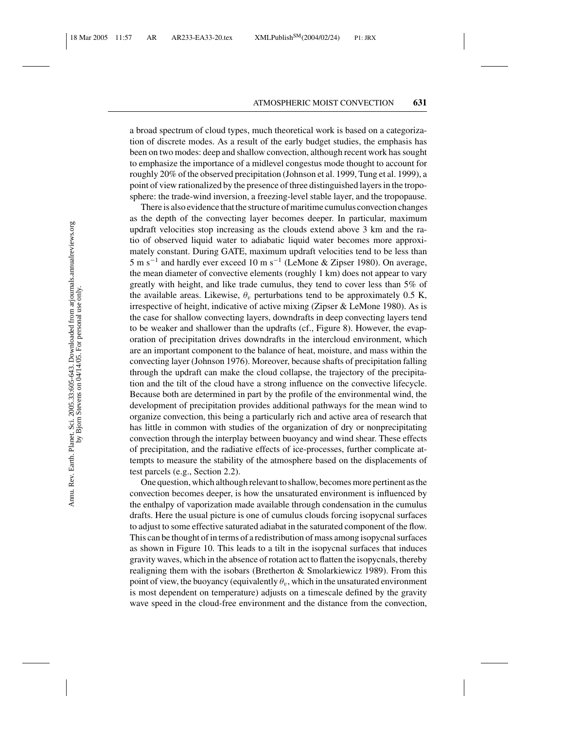a broad spectrum of cloud types, much theoretical work is based on a categorization of discrete modes. As a result of the early budget studies, the emphasis has been on two modes: deep and shallow convection, although recent work has sought to emphasize the importance of a midlevel congestus mode thought to account for roughly 20% of the observed precipitation (Johnson et al. 1999, Tung et al. 1999), a point of view rationalized by the presence of three distinguished layers in the troposphere: the trade-wind inversion, a freezing-level stable layer, and the tropopause.

There is also evidence that the structure of maritime cumulus convection changes as the depth of the convecting layer becomes deeper. In particular, maximum updraft velocities stop increasing as the clouds extend above 3 km and the ratio of observed liquid water to adiabatic liquid water becomes more approximately constant. During GATE, maximum updraft velocities tend to be less than 5 m s<sup>-1</sup> and hardly ever exceed 10 m s<sup>-1</sup> (LeMone & Zipser 1980). On average, the mean diameter of convective elements (roughly 1 km) does not appear to vary greatly with height, and like trade cumulus, they tend to cover less than 5% of the available areas. Likewise,  $\theta_v$  perturbations tend to be approximately 0.5 K, irrespective of height, indicative of active mixing (Zipser & LeMone 1980). As is the case for shallow convecting layers, downdrafts in deep convecting layers tend to be weaker and shallower than the updrafts (cf., Figure 8). However, the evaporation of precipitation drives downdrafts in the intercloud environment, which are an important component to the balance of heat, moisture, and mass within the convecting layer (Johnson 1976). Moreover, because shafts of precipitation falling through the updraft can make the cloud collapse, the trajectory of the precipitation and the tilt of the cloud have a strong influence on the convective lifecycle. Because both are determined in part by the profile of the environmental wind, the development of precipitation provides additional pathways for the mean wind to organize convection, this being a particularly rich and active area of research that has little in common with studies of the organization of dry or nonprecipitating convection through the interplay between buoyancy and wind shear. These effects of precipitation, and the radiative effects of ice-processes, further complicate attempts to measure the stability of the atmosphere based on the displacements of test parcels (e.g., Section 2.2).

One question, which although relevant to shallow, becomes more pertinent as the convection becomes deeper, is how the unsaturated environment is influenced by the enthalpy of vaporization made available through condensation in the cumulus drafts. Here the usual picture is one of cumulus clouds forcing isopycnal surfaces to adjust to some effective saturated adiabat in the saturated component of the flow. This can be thought of in terms of a redistribution of mass among isopycnal surfaces as shown in Figure 10. This leads to a tilt in the isopycnal surfaces that induces gravity waves, which in the absence of rotation act to flatten the isopycnals, thereby realigning them with the isobars (Bretherton & Smolarkiewicz 1989). From this point of view, the buoyancy (equivalently  $\theta_v$ , which in the unsaturated environment is most dependent on temperature) adjusts on a timescale defined by the gravity wave speed in the cloud-free environment and the distance from the convection,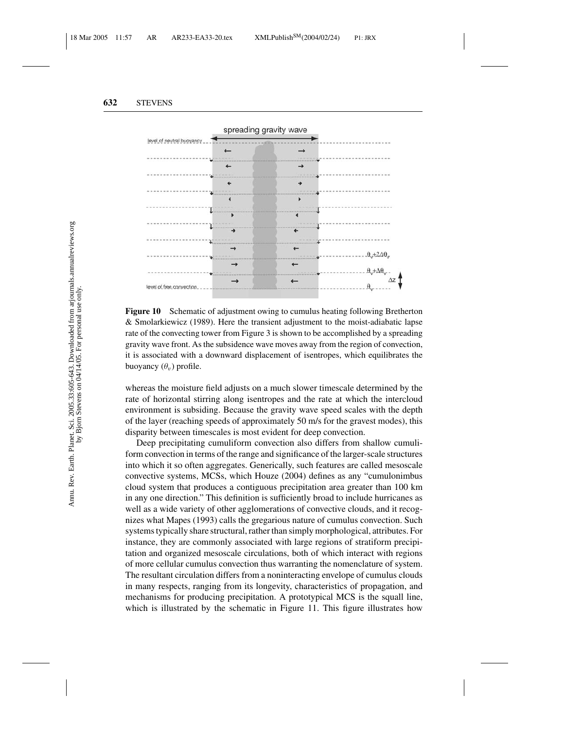

**Figure 10** Schematic of adjustment owing to cumulus heating following Bretherton & Smolarkiewicz (1989). Here the transient adjustment to the moist-adiabatic lapse rate of the convecting tower from Figure 3 is shown to be accomplished by a spreading gravity wave front. As the subsidence wave moves away from the region of convection, it is associated with a downward displacement of isentropes, which equilibrates the buoyancy  $(\theta_v)$  profile.

whereas the moisture field adjusts on a much slower timescale determined by the rate of horizontal stirring along isentropes and the rate at which the intercloud environment is subsiding. Because the gravity wave speed scales with the depth of the layer (reaching speeds of approximately 50 m/s for the gravest modes), this disparity between timescales is most evident for deep convection.

Deep precipitating cumuliform convection also differs from shallow cumuliform convection in terms of the range and significance of the larger-scale structures into which it so often aggregates. Generically, such features are called mesoscale convective systems, MCSs, which Houze (2004) defines as any "cumulonimbus cloud system that produces a contiguous precipitation area greater than 100 km in any one direction." This definition is sufficiently broad to include hurricanes as well as a wide variety of other agglomerations of convective clouds, and it recognizes what Mapes (1993) calls the gregarious nature of cumulus convection. Such systems typically share structural, rather than simply morphological, attributes. For instance, they are commonly associated with large regions of stratiform precipitation and organized mesoscale circulations, both of which interact with regions of more cellular cumulus convection thus warranting the nomenclature of system. The resultant circulation differs from a noninteracting envelope of cumulus clouds in many respects, ranging from its longevity, characteristics of propagation, and mechanisms for producing precipitation. A prototypical MCS is the squall line, which is illustrated by the schematic in Figure 11. This figure illustrates how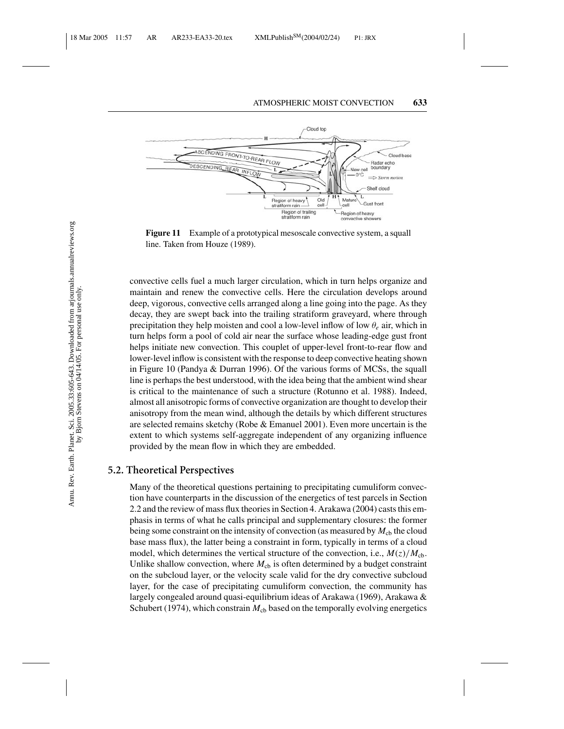

Figure 11 Example of a prototypical mesoscale convective system, a squall line. Taken from Houze (1989).

convective cells fuel a much larger circulation, which in turn helps organize and maintain and renew the convective cells. Here the circulation develops around deep, vigorous, convective cells arranged along a line going into the page. As they decay, they are swept back into the trailing stratiform graveyard, where through precipitation they help moisten and cool a low-level inflow of low θ*<sup>e</sup>* air, which in turn helps form a pool of cold air near the surface whose leading-edge gust front helps initiate new convection. This couplet of upper-level front-to-rear flow and lower-level inflow is consistent with the response to deep convective heating shown in Figure 10 (Pandya & Durran 1996). Of the various forms of MCSs, the squall line is perhaps the best understood, with the idea being that the ambient wind shear is critical to the maintenance of such a structure (Rotunno et al. 1988). Indeed, almost all anisotropic forms of convective organization are thought to develop their anisotropy from the mean wind, although the details by which different structures are selected remains sketchy (Robe  $\&$  Emanuel 2001). Even more uncertain is the extent to which systems self-aggregate independent of any organizing influence provided by the mean flow in which they are embedded.

## **5.2. Theoretical Perspectives**

Many of the theoretical questions pertaining to precipitating cumuliform convection have counterparts in the discussion of the energetics of test parcels in Section 2.2 and the review of mass flux theories in Section 4. Arakawa (2004) casts this emphasis in terms of what he calls principal and supplementary closures: the former being some constraint on the intensity of convection (as measured by  $M_{ch}$  the cloud base mass flux), the latter being a constraint in form, typically in terms of a cloud model, which determines the vertical structure of the convection, i.e.,  $M(z)/M_{\text{cb}}$ . Unlike shallow convection, where  $M_{ch}$  is often determined by a budget constraint on the subcloud layer, or the velocity scale valid for the dry convective subcloud layer, for the case of precipitating cumuliform convection, the community has largely congealed around quasi-equilibrium ideas of Arakawa (1969), Arakawa & Schubert (1974), which constrain  $M_{cb}$  based on the temporally evolving energetics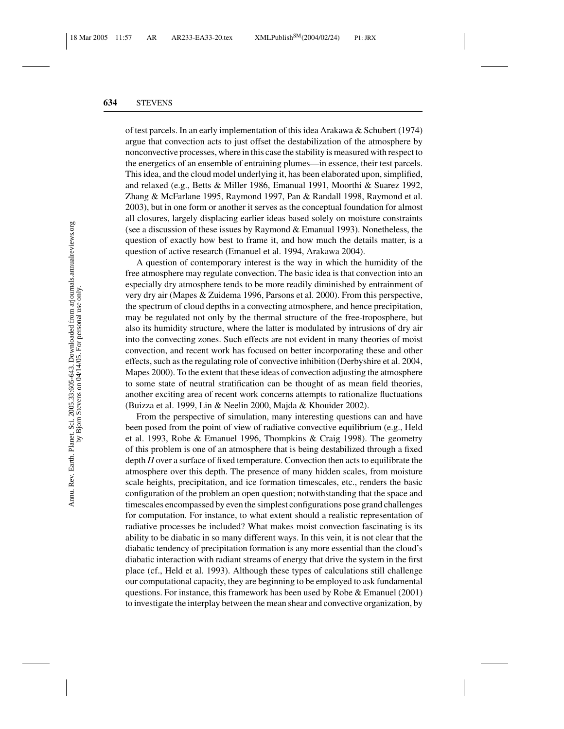of test parcels. In an early implementation of this idea Arakawa & Schubert (1974) argue that convection acts to just offset the destabilization of the atmosphere by nonconvective processes, where in this case the stability is measured with respect to the energetics of an ensemble of entraining plumes—in essence, their test parcels. This idea, and the cloud model underlying it, has been elaborated upon, simplified, and relaxed (e.g., Betts & Miller 1986, Emanual 1991, Moorthi & Suarez 1992, Zhang & McFarlane 1995, Raymond 1997, Pan & Randall 1998, Raymond et al. 2003), but in one form or another it serves as the conceptual foundation for almost all closures, largely displacing earlier ideas based solely on moisture constraints (see a discussion of these issues by Raymond & Emanual 1993). Nonetheless, the question of exactly how best to frame it, and how much the details matter, is a question of active research (Emanuel et al. 1994, Arakawa 2004).

A question of contemporary interest is the way in which the humidity of the free atmosphere may regulate convection. The basic idea is that convection into an especially dry atmosphere tends to be more readily diminished by entrainment of very dry air (Mapes & Zuidema 1996, Parsons et al. 2000). From this perspective, the spectrum of cloud depths in a convecting atmosphere, and hence precipitation, may be regulated not only by the thermal structure of the free-troposphere, but also its humidity structure, where the latter is modulated by intrusions of dry air into the convecting zones. Such effects are not evident in many theories of moist convection, and recent work has focused on better incorporating these and other effects, such as the regulating role of convective inhibition (Derbyshire et al. 2004, Mapes 2000). To the extent that these ideas of convection adjusting the atmosphere to some state of neutral stratification can be thought of as mean field theories, another exciting area of recent work concerns attempts to rationalize fluctuations (Buizza et al. 1999, Lin & Neelin 2000, Majda & Khouider 2002).

From the perspective of simulation, many interesting questions can and have been posed from the point of view of radiative convective equilibrium (e.g., Held et al. 1993, Robe & Emanuel 1996, Thompkins & Craig 1998). The geometry of this problem is one of an atmosphere that is being destabilized through a fixed depth *H* over a surface of fixed temperature. Convection then acts to equilibrate the atmosphere over this depth. The presence of many hidden scales, from moisture scale heights, precipitation, and ice formation timescales, etc., renders the basic configuration of the problem an open question; notwithstanding that the space and timescales encompassed by even the simplest configurations pose grand challenges for computation. For instance, to what extent should a realistic representation of radiative processes be included? What makes moist convection fascinating is its ability to be diabatic in so many different ways. In this vein, it is not clear that the diabatic tendency of precipitation formation is any more essential than the cloud's diabatic interaction with radiant streams of energy that drive the system in the first place (cf., Held et al. 1993). Although these types of calculations still challenge our computational capacity, they are beginning to be employed to ask fundamental questions. For instance, this framework has been used by Robe & Emanuel (2001) to investigate the interplay between the mean shear and convective organization, by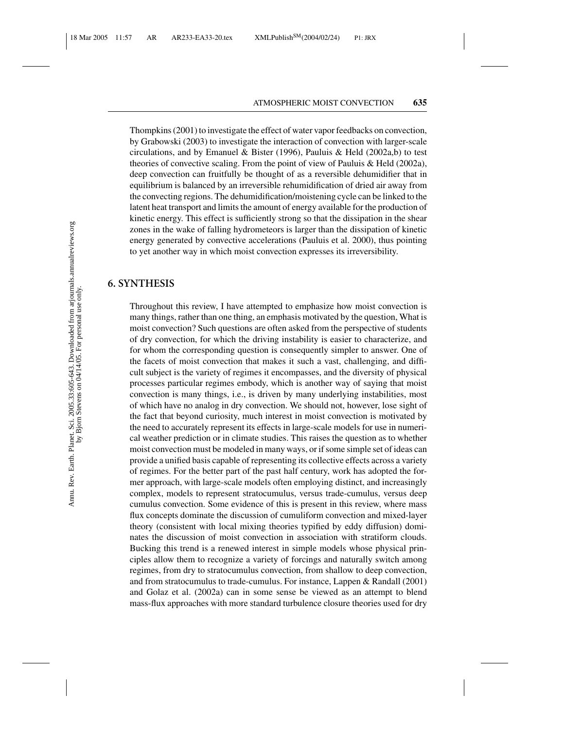Thompkins (2001) to investigate the effect of water vapor feedbacks on convection, by Grabowski (2003) to investigate the interaction of convection with larger-scale circulations, and by Emanuel & Bister (1996), Pauluis & Held (2002a,b) to test theories of convective scaling. From the point of view of Pauluis & Held (2002a), deep convection can fruitfully be thought of as a reversible dehumidifier that in equilibrium is balanced by an irreversible rehumidification of dried air away from the convecting regions. The dehumidification/moistening cycle can be linked to the latent heat transport and limits the amount of energy available for the production of kinetic energy. This effect is sufficiently strong so that the dissipation in the shear zones in the wake of falling hydrometeors is larger than the dissipation of kinetic energy generated by convective accelerations (Pauluis et al. 2000), thus pointing to yet another way in which moist convection expresses its irreversibility.

#### **6. SYNTHESIS**

Throughout this review, I have attempted to emphasize how moist convection is many things, rather than one thing, an emphasis motivated by the question, What is moist convection? Such questions are often asked from the perspective of students of dry convection, for which the driving instability is easier to characterize, and for whom the corresponding question is consequently simpler to answer. One of the facets of moist convection that makes it such a vast, challenging, and difficult subject is the variety of regimes it encompasses, and the diversity of physical processes particular regimes embody, which is another way of saying that moist convection is many things, i.e., is driven by many underlying instabilities, most of which have no analog in dry convection. We should not, however, lose sight of the fact that beyond curiosity, much interest in moist convection is motivated by the need to accurately represent its effects in large-scale models for use in numerical weather prediction or in climate studies. This raises the question as to whether moist convection must be modeled in many ways, or if some simple set of ideas can provide a unified basis capable of representing its collective effects across a variety of regimes. For the better part of the past half century, work has adopted the former approach, with large-scale models often employing distinct, and increasingly complex, models to represent stratocumulus, versus trade-cumulus, versus deep cumulus convection. Some evidence of this is present in this review, where mass flux concepts dominate the discussion of cumuliform convection and mixed-layer theory (consistent with local mixing theories typified by eddy diffusion) dominates the discussion of moist convection in association with stratiform clouds. Bucking this trend is a renewed interest in simple models whose physical principles allow them to recognize a variety of forcings and naturally switch among regimes, from dry to stratocumulus convection, from shallow to deep convection, and from stratocumulus to trade-cumulus. For instance, Lappen & Randall (2001) and Golaz et al. (2002a) can in some sense be viewed as an attempt to blend mass-flux approaches with more standard turbulence closure theories used for dry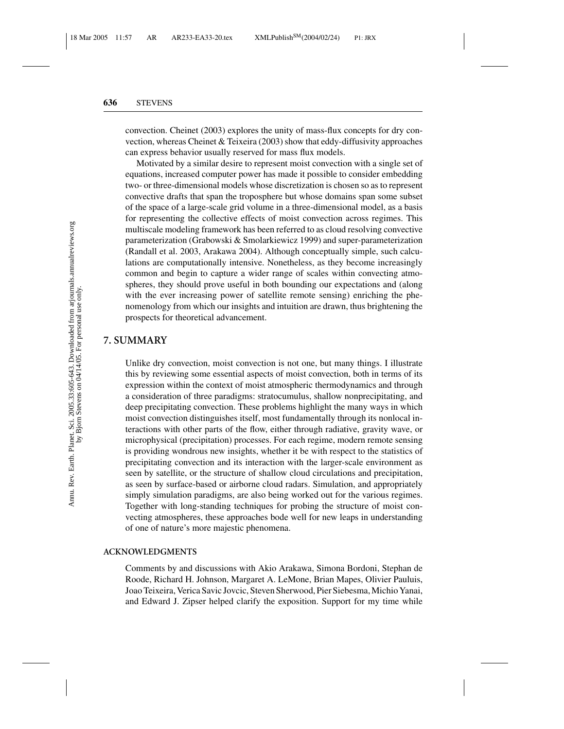convection. Cheinet (2003) explores the unity of mass-flux concepts for dry convection, whereas Cheinet & Teixeira (2003) show that eddy-diffusivity approaches can express behavior usually reserved for mass flux models.

Motivated by a similar desire to represent moist convection with a single set of equations, increased computer power has made it possible to consider embedding two- or three-dimensional models whose discretization is chosen so as to represent convective drafts that span the troposphere but whose domains span some subset of the space of a large-scale grid volume in a three-dimensional model, as a basis for representing the collective effects of moist convection across regimes. This multiscale modeling framework has been referred to as cloud resolving convective parameterization (Grabowski & Smolarkiewicz 1999) and super-parameterization (Randall et al. 2003, Arakawa 2004). Although conceptually simple, such calculations are computationally intensive. Nonetheless, as they become increasingly common and begin to capture a wider range of scales within convecting atmospheres, they should prove useful in both bounding our expectations and (along with the ever increasing power of satellite remote sensing) enriching the phenomenology from which our insights and intuition are drawn, thus brightening the prospects for theoretical advancement.

## **7. SUMMARY**

Unlike dry convection, moist convection is not one, but many things. I illustrate this by reviewing some essential aspects of moist convection, both in terms of its expression within the context of moist atmospheric thermodynamics and through a consideration of three paradigms: stratocumulus, shallow nonprecipitating, and deep precipitating convection. These problems highlight the many ways in which moist convection distinguishes itself, most fundamentally through its nonlocal interactions with other parts of the flow, either through radiative, gravity wave, or microphysical (precipitation) processes. For each regime, modern remote sensing is providing wondrous new insights, whether it be with respect to the statistics of precipitating convection and its interaction with the larger-scale environment as seen by satellite, or the structure of shallow cloud circulations and precipitation, as seen by surface-based or airborne cloud radars. Simulation, and appropriately simply simulation paradigms, are also being worked out for the various regimes. Together with long-standing techniques for probing the structure of moist convecting atmospheres, these approaches bode well for new leaps in understanding of one of nature's more majestic phenomena.

#### **ACKNOWLEDGMENTS**

Comments by and discussions with Akio Arakawa, Simona Bordoni, Stephan de Roode, Richard H. Johnson, Margaret A. LeMone, Brian Mapes, Olivier Pauluis, Joao Teixeira, Verica Savic Jovcic, Steven Sherwood, Pier Siebesma, Michio Yanai, and Edward J. Zipser helped clarify the exposition. Support for my time while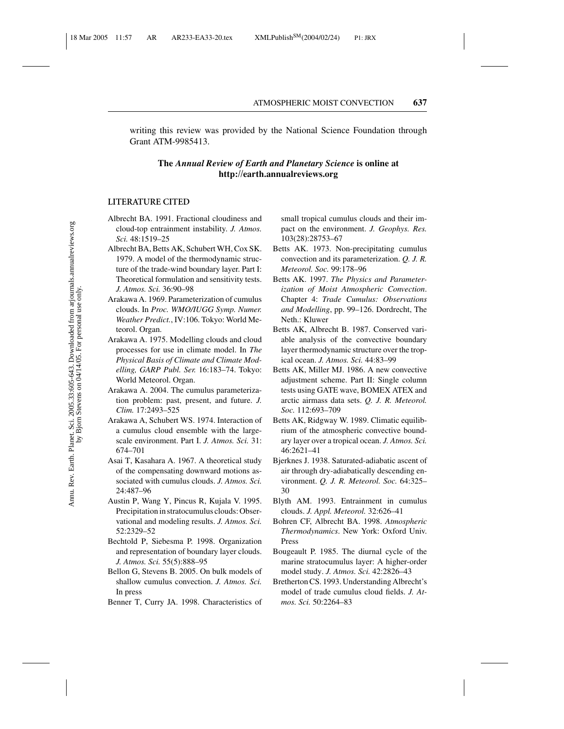writing this review was provided by the National Science Foundation through Grant ATM-9985413.

#### **The** *Annual Review of Earth and Planetary Science* **is online at http://earth.annualreviews.org**

#### **LITERATURE CITED**

- Albrecht BA. 1991. Fractional cloudiness and cloud-top entrainment instability. *J. Atmos. Sci.* 48:1519–25
- Albrecht BA, Betts AK, Schubert WH, Cox SK. 1979. A model of the thermodynamic structure of the trade-wind boundary layer. Part I: Theoretical formulation and sensitivity tests. *J. Atmos. Sci.* 36:90–98
- Arakawa A. 1969. Parameterization of cumulus clouds. In *Proc. WMO/IUGG Symp. Numer. Weather Predict.*, IV:106. Tokyo: World Meteorol. Organ.
- Arakawa A. 1975. Modelling clouds and cloud processes for use in climate model. In *The Physical Basis of Climate and Climate Modelling, GARP Publ. Ser.* 16:183–74. Tokyo: World Meteorol. Organ.
- Arakawa A. 2004. The cumulus parameterization problem: past, present, and future. *J. Clim.* 17:2493–525
- Arakawa A, Schubert WS. 1974. Interaction of a cumulus cloud ensemble with the largescale environment. Part I. *J. Atmos. Sci.* 31: 674–701
- Asai T, Kasahara A. 1967. A theoretical study of the compensating downward motions associated with cumulus clouds. *J. Atmos. Sci.* 24:487–96
- Austin P, Wang Y, Pincus R, Kujala V. 1995. Precipitation in stratocumulus clouds: Observational and modeling results. *J. Atmos. Sci.* 52:2329–52
- Bechtold P, Siebesma P. 1998. Organization and representation of boundary layer clouds. *J. Atmos. Sci.* 55(5):888–95
- Bellon G, Stevens B. 2005. On bulk models of shallow cumulus convection. *J. Atmos. Sci.* In press
- Benner T, Curry JA. 1998. Characteristics of

small tropical cumulus clouds and their impact on the environment. *J. Geophys. Res.* 103(28):28753–67

- Betts AK. 1973. Non-precipitating cumulus convection and its parameterization. *Q. J. R. Meteorol. Soc.* 99:178–96
- Betts AK. 1997. *The Physics and Parameterization of Moist Atmospheric Convection*. Chapter 4: *Trade Cumulus: Observations and Modelling*, pp. 99–126. Dordrecht, The Neth.: Kluwer
- Betts AK, Albrecht B. 1987. Conserved variable analysis of the convective boundary layer thermodynamic structure over the tropical ocean. *J. Atmos. Sci.* 44:83–99
- Betts AK, Miller MJ. 1986. A new convective adjustment scheme. Part II: Single column tests using GATE wave, BOMEX ATEX and arctic airmass data sets. *Q. J. R. Meteorol. Soc.* 112:693–709
- Betts AK, Ridgway W. 1989. Climatic equilibrium of the atmospheric convective boundary layer over a tropical ocean. *J. Atmos. Sci.* 46:2621–41
- Bjerknes J. 1938. Saturated-adiabatic ascent of air through dry-adiabatically descending environment. *Q. J. R. Meteorol. Soc.* 64:325– 30
- Blyth AM. 1993. Entrainment in cumulus clouds. *J. Appl. Meteorol.* 32:626–41
- Bohren CF, Albrecht BA. 1998. *Atmospheric Thermodynamics*. New York: Oxford Univ. Press
- Bougeault P. 1985. The diurnal cycle of the marine stratocumulus layer: A higher-order model study. *J. Atmos. Sci.* 42:2826–43
- Bretherton CS. 1993. Understanding Albrecht's model of trade cumulus cloud fields. *J. Atmos. Sci.* 50:2264–83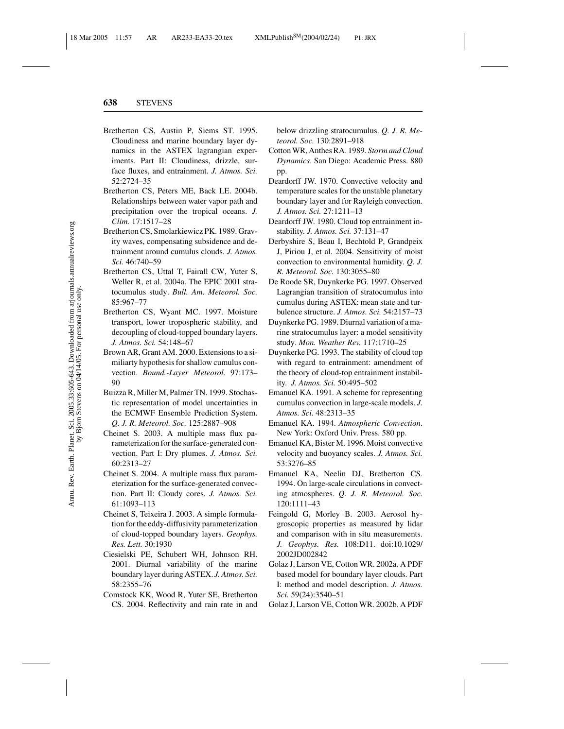- Bretherton CS, Austin P, Siems ST. 1995. Cloudiness and marine boundary layer dynamics in the ASTEX lagrangian experiments. Part II: Cloudiness, drizzle, surface fluxes, and entrainment. *J. Atmos. Sci.* 52:2724–35
- Bretherton CS, Peters ME, Back LE. 2004b. Relationships between water vapor path and precipitation over the tropical oceans. *J. Clim.* 17:1517–28
- Bretherton CS, Smolarkiewicz PK. 1989. Gravity waves, compensating subsidence and detrainment around cumulus clouds. *J. Atmos. Sci.* 46:740–59
- Bretherton CS, Uttal T, Fairall CW, Yuter S, Weller R, et al. 2004a. The EPIC 2001 stratocumulus study. *Bull. Am. Meteorol. Soc.* 85:967–77
- Bretherton CS, Wyant MC. 1997. Moisture transport, lower tropospheric stability, and decoupling of cloud-topped boundary layers. *J. Atmos. Sci.* 54:148–67
- Brown AR, Grant AM. 2000. Extensions to a similiarty hypothesis for shallow cumulus convection. *Bound.-Layer Meteorol.* 97:173– 90
- Buizza R, Miller M, Palmer TN. 1999. Stochastic representation of model uncertainties in the ECMWF Ensemble Prediction System. *Q. J. R. Meteorol. Soc.* 125:2887–908
- Cheinet S. 2003. A multiple mass flux parameterization for the surface-generated convection. Part I: Dry plumes. *J. Atmos. Sci.* 60:2313–27
- Cheinet S. 2004. A multiple mass flux parameterization for the surface-generated convection. Part II: Cloudy cores. *J. Atmos. Sci.* 61:1093–113
- Cheinet S, Teixeira J. 2003. A simple formulation for the eddy-diffusivity parameterization of cloud-topped boundary layers. *Geophys. Res. Lett.* 30:1930
- Ciesielski PE, Schubert WH, Johnson RH. 2001. Diurnal variability of the marine boundary layer during ASTEX. *J. Atmos. Sci.* 58:2355–76
- Comstock KK, Wood R, Yuter SE, Bretherton CS. 2004. Reflectivity and rain rate in and

below drizzling stratocumulus. *Q. J. R. Meteorol. Soc.* 130:2891–918

- Cotton WR, Anthes RA. 1989. *Storm and Cloud Dynamics*. San Diego: Academic Press. 880 pp.
- Deardorff JW. 1970. Convective velocity and temperature scales for the unstable planetary boundary layer and for Rayleigh convection. *J. Atmos. Sci.* 27:1211–13
- Deardorff JW. 1980. Cloud top entrainment instability. *J. Atmos. Sci.* 37:131–47
- Derbyshire S, Beau I, Bechtold P, Grandpeix J, Piriou J, et al. 2004. Sensitivity of moist convection to environmental humidity. *Q. J. R. Meteorol. Soc.* 130:3055–80
- De Roode SR, Duynkerke PG. 1997. Observed Lagrangian transition of stratocumulus into cumulus during ASTEX: mean state and turbulence structure. *J. Atmos. Sci.* 54:2157–73
- Duynkerke PG. 1989. Diurnal variation of a marine stratocumulus layer: a model sensitivity study. *Mon. Weather Rev.* 117:1710–25
- Duynkerke PG. 1993. The stability of cloud top with regard to entrainment: amendment of the theory of cloud-top entrainment instability. *J. Atmos. Sci.* 50:495–502
- Emanuel KA. 1991. A scheme for representing cumulus convection in large-scale models. *J. Atmos. Sci.* 48:2313–35
- Emanuel KA. 1994. *Atmospheric Convection*. New York: Oxford Univ. Press. 580 pp.
- Emanuel KA, Bister M. 1996. Moist convective velocity and buoyancy scales. *J. Atmos. Sci.* 53:3276–85
- Emanuel KA, Neelin DJ, Bretherton CS. 1994. On large-scale circulations in convecting atmospheres. *Q. J. R. Meteorol. Soc.* 120:1111–43
- Feingold G, Morley B. 2003. Aerosol hygroscopic properties as measured by lidar and comparison with in situ measurements. *J. Geophys. Res.* 108:D11. doi:10.1029/ 2002JD002842
- Golaz J, Larson VE, Cotton WR. 2002a. A PDF based model for boundary layer clouds. Part I: method and model description. *J. Atmos. Sci.* 59(24):3540–51
- Golaz J, Larson VE, Cotton WR. 2002b. A PDF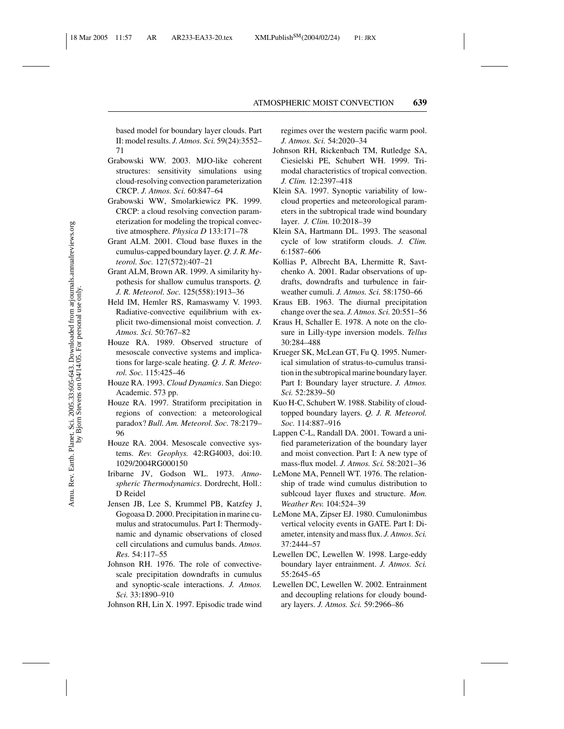based model for boundary layer clouds. Part II: model results. *J. Atmos. Sci.* 59(24):3552– 71

- Grabowski WW. 2003. MJO-like coherent structures: sensitivity simulations using cloud-resolving convection parameterization CRCP. *J. Atmos. Sci.* 60:847–64
- Grabowski WW, Smolarkiewicz PK. 1999. CRCP: a cloud resolving convection parameterization for modeling the tropical convective atmosphere. *Physica D* 133:171–78
- Grant ALM. 2001. Cloud base fluxes in the cumulus-capped boundary layer. *Q. J. R. Meteorol. Soc.* 127(572):407–21
- Grant ALM, Brown AR. 1999. A similarity hypothesis for shallow cumulus transports. *Q. J. R. Meteorol. Soc.* 125(558):1913–36
- Held IM, Hemler RS, Ramaswamy V. 1993. Radiative-convective equilibrium with explicit two-dimensional moist convection. *J. Atmos. Sci.* 50:767–82
- Houze RA. 1989. Observed structure mesoscale convective systems and implications for large-scale heating. *Q. J. R. Meteorol. Soc.* 115:425–46
- Houze RA. 1993. *Cloud Dynamics*. San Diego: Academic. 573 pp.
- Houze RA. 1997. Stratiform precipitation in regions of convection: a meteorological paradox? *Bull. Am. Meteorol. Soc.* 78:2179– 96
- Houze RA. 2004. Mesoscale convective systems. *Rev. Geophys.* 42:RG4003, doi:10. 1029/2004RG000150
- Iribarne JV, Godson WL. 1973. *Atmospheric Thermodynamics*. Dordrecht, Holl.: D Reidel
- Jensen JB, Lee S, Krummel PB, Katzfey J, Gogoasa D. 2000. Precipitation in marine cumulus and stratocumulus. Part I: Thermodynamic and dynamic observations of closed cell circulations and cumulus bands. *Atmos. Res.* 54:117–55
- Johnson RH. 1976. The role of convectivescale precipitation downdrafts in cumulus and synoptic-scale interactions. *J. Atmos. Sci.* 33:1890–910
- Johnson RH, Lin X. 1997. Episodic trade wind

regimes over the western pacific warm pool. *J. Atmos. Sci.* 54:2020–34

- Johnson RH, Rickenbach TM, Rutledge SA, Ciesielski PE, Schubert WH. 1999. Trimodal characteristics of tropical convection. *J. Clim.* 12:2397–418
- Klein SA. 1997. Synoptic variability of lowcloud properties and meteorological parameters in the subtropical trade wind boundary layer. *J. Clim.* 10:2018–39
- Klein SA, Hartmann DL. 1993. The seasonal cycle of low stratiform clouds. *J. Clim.* 6:1587–606
- Kollias P, Albrecht BA, Lhermitte R, Savtchenko A. 2001. Radar observations of updrafts, downdrafts and turbulence in fairweather cumuli. *J. Atmos. Sci.* 58:1750–66
- Kraus EB. 1963. The diurnal precipitation change over the sea. *J. Atmos. Sci.* 20:551–56
- Kraus H, Schaller E. 1978. A note on the closure in Lilly-type inversion models. *Tellus* 30:284–488
- Krueger SK, McLean GT, Fu Q. 1995. Numerical simulation of stratus-to-cumulus transition in the subtropical marine boundary layer. Part I: Boundary layer structure. *J. Atmos. Sci.* 52:2839–50
- Kuo H-C, Schubert W. 1988. Stability of cloudtopped boundary layers. *Q. J. R. Meteorol. Soc.* 114:887–916
- Lappen C-L, Randall DA. 2001. Toward a unified parameterization of the boundary layer and moist convection. Part I: A new type of mass-flux model. *J. Atmos. Sci.* 58:2021–36
- LeMone MA, Pennell WT. 1976. The relationship of trade wind cumulus distribution to sublcoud layer fluxes and structure. *Mon. Weather Rev.* 104:524–39
- LeMone MA, Zipser EJ. 1980. Cumulonimbus vertical velocity events in GATE. Part I: Diameter, intensity and mass flux. *J. Atmos. Sci.* 37:2444–57
- Lewellen DC, Lewellen W. 1998. Large-eddy boundary layer entrainment. *J. Atmos. Sci.* 55:2645–65
- Lewellen DC, Lewellen W. 2002. Entrainment and decoupling relations for cloudy boundary layers. *J. Atmos. Sci.* 59:2966–86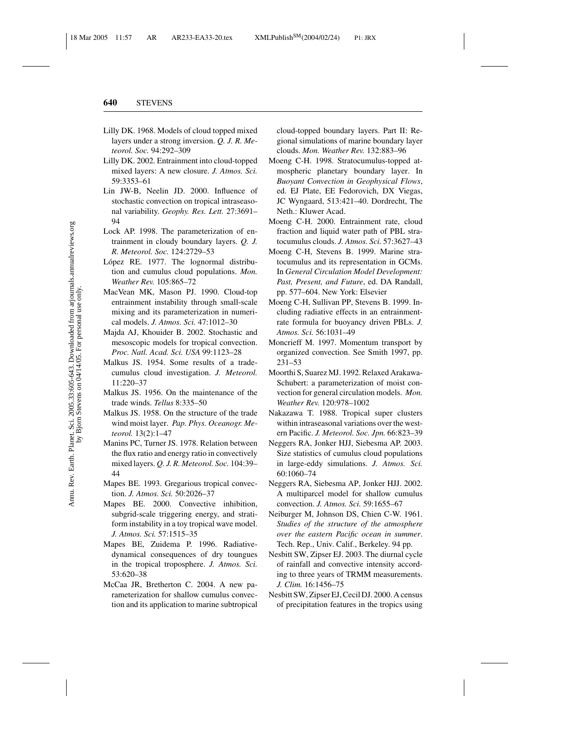- Lilly DK. 1968. Models of cloud topped mixed layers under a strong inversion. *Q. J. R. Meteorol. Soc.* 94:292–309
- Lilly DK. 2002. Entrainment into cloud-topped mixed layers: A new closure. *J. Atmos. Sci.* 59:3353–61
- Lin JW-B, Neelin JD. 2000. Influence of stochastic convection on tropical intraseasonal variability. *Geophy. Res. Lett.* 27:3691– 94
- Lock AP. 1998. The parameterization of entrainment in cloudy boundary layers. *Q. J. R. Meteorol. Soc.* 124:2729–53
- López RE. 1977. The lognormal distribution and cumulus cloud populations. *Mon. Weather Rev.* 105:865–72
- MacVean MK, Mason PJ. 1990. Cloud-top entrainment instability through small-scale mixing and its parameterization in numerical models. *J. Atmos. Sci.* 47:1012–30
- Majda AJ, Khouider B. 2002. Stochastic and mesoscopic models for tropical convection. *Proc. Natl. Acad. Sci. USA* 99:1123–28
- Malkus JS. 1954. Some results of a tradecumulus cloud investigation. *J. Meteorol.* 11:220–37
- Malkus JS. 1956. On the maintenance of the trade winds. *Tellus* 8:335–50
- Malkus JS. 1958. On the structure of the trade wind moist layer. *Pap. Phys. Oceanogr. Meteorol.* 13(2):1–47
- Manins PC, Turner JS. 1978. Relation between the flux ratio and energy ratio in convectively mixed layers. *Q. J. R. Meteorol. Soc.* 104:39– 44
- Mapes BE. 1993. Gregarious tropical convection. *J. Atmos. Sci.* 50:2026–37
- Mapes BE. 2000. Convective inhibition, subgrid-scale triggering energy, and stratiform instability in a toy tropical wave model. *J. Atmos. Sci.* 57:1515–35
- Mapes BE, Zuidema P. 1996. Radiativedynamical consequences of dry toungues in the tropical troposphere. *J. Atmos. Sci.* 53:620–38
- McCaa JR, Bretherton C. 2004. A new parameterization for shallow cumulus convection and its application to marine subtropical

cloud-topped boundary layers. Part II: Regional simulations of marine boundary layer clouds. *Mon. Weather Rev.* 132:883–96

- Moeng C-H. 1998. Stratocumulus-topped atmospheric planetary boundary layer. *Buoyant Convection in Geophysical Flows*, ed. EJ Plate, EE Fedorovich, DX Viegas, JC Wyngaard, 513:421–40. Dordrecht, The Neth.: Kluwer Acad.
- Moeng C-H. 2000. Entrainment rate, cloud fraction and liquid water path of PBL stratocumulus clouds. *J. Atmos. Sci.* 57:3627–43
- Moeng C-H, Stevens B. 1999. Marine stratocumulus and its representation in GCMs. In *General Circulation Model Development: Past, Present, and Future*, ed. DA Randall, pp. 577–604. New York: Elsevier
- Moeng C-H, Sullivan PP, Stevens B. 1999. Including radiative effects in an entrainmentrate formula for buoyancy driven PBLs. *J. Atmos. Sci.* 56:1031–49
- Moncrieff M. 1997. Momentum transport by organized convection. See Smith 1997, pp. 231–53
- Moorthi S, Suarez MJ. 1992. Relaxed Arakawa-Schubert: a parameterization of moist convection for general circulation models. *Mon. Weather Rev.* 120:978–1002
- Nakazawa T. 1988. Tropical super clusters within intraseasonal variations over the western Pacific. *J. Meteorol. Soc. Jpn.* 66:823–39
- Neggers RA, Jonker HJJ, Siebesma AP. 2003. Size statistics of cumulus cloud populations in large-eddy simulations. *J. Atmos. Sci.* 60:1060–74
- Neggers RA, Siebesma AP, Jonker HJJ. 2002. A multiparcel model for shallow cumulus convection. *J. Atmos. Sci.* 59:1655–67
- Neiburger M, Johnson DS, Chien C-W. 1961. *Studies of the structure of the atmosphere over the eastern Pacific ocean in summer*. Tech. Rep., Univ. Calif., Berkeley. 94 pp.
- Nesbitt SW, Zipser EJ. 2003. The diurnal cycle of rainfall and convective intensity according to three years of TRMM measurements. *J. Clim.* 16:1456–75
- Nesbitt SW, Zipser EJ, Cecil DJ. 2000. A census of precipitation features in the tropics using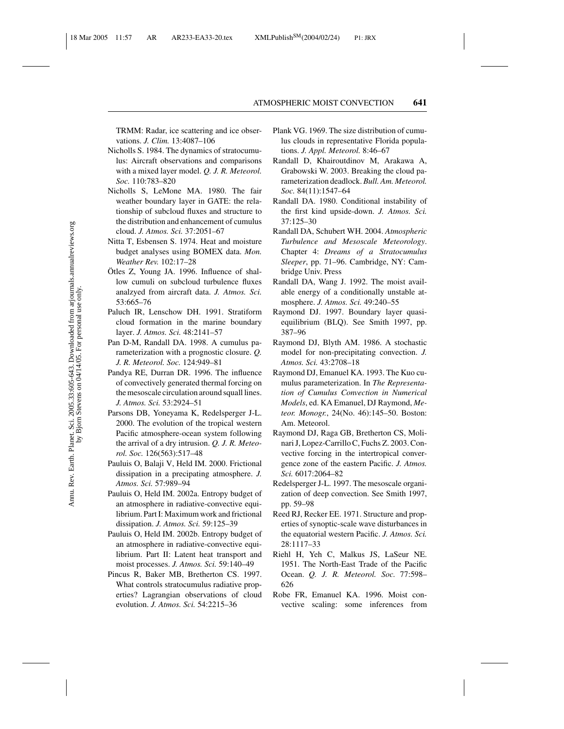TRMM: Radar, ice scattering and ice observations. *J. Clim.* 13:4087–106

- Nicholls S. 1984. The dynamics of stratocumulus: Aircraft observations and comparisons with a mixed layer model. *Q. J. R. Meteorol. Soc.* 110:783–820
- Nicholls S, LeMone MA. 1980. The fair weather boundary layer in GATE: the relationship of subcloud fluxes and structure to the distribution and enhancement of cumulus cloud. *J. Atmos. Sci.* 37:2051–67
- Nitta T, Esbensen S. 1974. Heat and moisture budget analyses using BOMEX data. *Mon. Weather Rev.* 102:17–28
- Otles Z, Young JA. 1996. Influence of shal- ¨ low cumuli on subcloud turbulence fluxes analzyed from aircraft data. *J. Atmos. Sci.* 53:665–76
- Paluch IR, Lenschow DH. 1991. Stratiform cloud formation in the marine boundary layer. *J. Atmos. Sci.* 48:2141–57
- Pan D-M, Randall DA. 1998. A cumulus parameterization with a prognostic closure. *Q. J. R. Meteorol. Soc.* 124:949–81
- Pandya RE, Durran DR. 1996. The influence of convectively generated thermal forcing on the mesoscale circulation around squall lines. *J. Atmos. Sci.* 53:2924–51
- Parsons DB, Yoneyama K, Redelsperger J-L. 2000. The evolution of the tropical western Pacific atmosphere-ocean system following the arrival of a dry intrusion. *Q. J. R. Meteorol. Soc.* 126(563):517–48
- Pauluis O, Balaji V, Held IM. 2000. Frictional dissipation in a precipating atmosphere. *J. Atmos. Sci.* 57:989–94
- Pauluis O, Held IM. 2002a. Entropy budget of an atmosphere in radiative-convective equilibrium. Part I: Maximum work and frictional dissipation. *J. Atmos. Sci.* 59:125–39
- Pauluis O, Held IM. 2002b. Entropy budget of an atmosphere in radiative-convective equilibrium. Part II: Latent heat transport and moist processes. *J. Atmos. Sci.* 59:140–49
- Pincus R, Baker MB, Bretherton CS. 1997. What controls stratocumulus radiative properties? Lagrangian observations of cloud evolution. *J. Atmos. Sci.* 54:2215–36
- Plank VG. 1969. The size distribution of cumulus clouds in representative Florida populations. *J. Appl. Meteorol.* 8:46–67
- Randall D, Khairoutdinov M, Arakawa A, Grabowski W. 2003. Breaking the cloud parameterization deadlock. *Bull. Am. Meteorol. Soc.* 84(11):1547–64
- Randall DA. 1980. Conditional instability of the first kind upside-down. *J. Atmos. Sci.* 37:125–30
- Randall DA, Schubert WH. 2004. *Atmospheric Turbulence and Mesoscale Meteorology*. Chapter 4: *Dreams of a Stratocumulus Sleeper*, pp. 71–96. Cambridge, NY: Cambridge Univ. Press
- Randall DA, Wang J. 1992. The moist available energy of a conditionally unstable atmosphere. *J. Atmos. Sci.* 49:240–55
- Raymond DJ. 1997. Boundary layer quasiequilibrium (BLQ). See Smith 1997, pp. 387–96
- Raymond DJ, Blyth AM. 1986. A stochastic model for non-precipitating convection. *J. Atmos. Sci.* 43:2708–18
- Raymond DJ, Emanuel KA. 1993. The Kuo cumulus parameterization. In *The Representation of Cumulus Convection in Numerical Models*, ed. KA Emanuel, DJ Raymond, *Meteor. Monogr.*, 24(No. 46):145–50. Boston: Am. Meteorol.
- Raymond DJ, Raga GB, Bretherton CS, Molinari J, Lopez-Carrillo C, Fuchs Z. 2003. Convective forcing in the intertropical convergence zone of the eastern Pacific. *J. Atmos. Sci.* 6017:2064–82
- Redelsperger J-L. 1997. The mesoscale organization of deep convection. See Smith 1997, pp. 59–98
- Reed RJ, Recker EE. 1971. Structure and properties of synoptic-scale wave disturbances in the equatorial western Pacific. *J. Atmos. Sci.* 28:1117–33
- Riehl H, Yeh C, Malkus JS, LaSeur NE. 1951. The North-East Trade of the Pacific Ocean. *Q. J. R. Meteorol. Soc.* 77:598– 626
- Robe FR, Emanuel KA. 1996. Moist convective scaling: some inferences from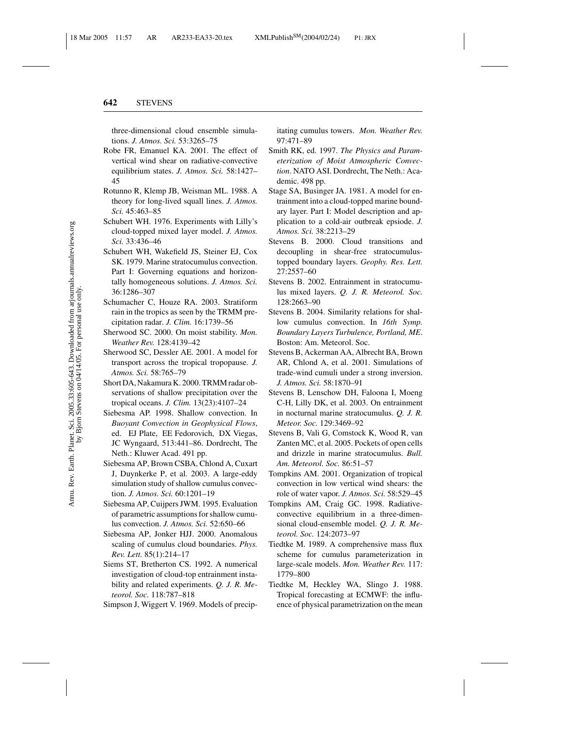three-dimensional cloud ensemble simulations. *J. Atmos. Sci.* 53:3265–75

- Robe FR, Emanuel KA. 2001. The effect of vertical wind shear on radiative-convective equilibrium states. *J. Atmos. Sci.* 58:1427– 45
- Rotunno R, Klemp JB, Weisman ML. 1988. A theory for long-lived squall lines. *J. Atmos. Sci.* 45:463–85
- Schubert WH. 1976. Experiments with Lilly's cloud-topped mixed layer model. *J. Atmos. Sci.* 33:436–46
- Schubert WH, Wakefield JS, Steiner EJ, Cox SK. 1979. Marine stratocumulus convection. Part I: Governing equations and horizontally homogeneous solutions. *J. Atmos. Sci.* 36:1286–307
- Schumacher C, Houze RA. 2003. Stratiform rain in the tropics as seen by the TRMM precipitation radar. *J. Clim.* 16:1739–56
- Sherwood SC. 2000. On moist stability. *Mon. Weather Rev.* 128:4139–42
- Sherwood SC, Dessler AE. 2001. A model for transport across the tropical tropopause. *J. Atmos. Sci.* 58:765–79
- Short DA, Nakamura K. 2000. TRMM radar observations of shallow precipitation over the tropical oceans. *J. Clim.* 13(23):4107–24
- Siebesma AP. 1998. Shallow convection. In *Buoyant Convection in Geophysical Flows*, ed. EJ Plate, EE Fedorovich, DX Viegas, JC Wyngaard, 513:441–86. Dordrecht, The Neth.: Kluwer Acad. 491 pp.
- Siebesma AP, Brown CSBA, Chlond A, Cuxart J, Duynkerke P, et al. 2003. A large-eddy simulation study of shallow cumulus convection. *J. Atmos. Sci.* 60:1201–19
- Siebesma AP, Cuijpers JWM. 1995. Evaluation of parametric assumptions for shallow cumulus convection. *J. Atmos. Sci.* 52:650–66
- Siebesma AP, Jonker HJJ. 2000. Anomalous scaling of cumulus cloud boundaries. *Phys. Rev. Lett.* 85(1):214–17
- Siems ST, Bretherton CS. 1992. A numerical investigation of cloud-top entrainment instability and related experiments. *Q. J. R. Meteorol. Soc.* 118:787–818
- Simpson J, Wiggert V. 1969. Models of precip-

itating cumulus towers. *Mon. Weather Rev.* 97:471–89

- Smith RK, ed. 1997. *The Physics and Parameterization of Moist Atmospheric Convection*. NATO ASI. Dordrecht, The Neth.: Academic. 498 pp.
- Stage SA, Businger JA. 1981. A model for entrainment into a cloud-topped marine boundary layer. Part I: Model description and application to a cold-air outbreak epsiode. *J. Atmos. Sci.* 38:2213–29
- Stevens B. 2000. Cloud transitions and decoupling in shear-free stratocumulustopped boundary layers. *Geophy. Res. Lett.* 27:2557–60
- Stevens B. 2002. Entrainment in stratocumulus mixed layers. *Q. J. R. Meteorol. Soc.* 128:2663–90
- Stevens B. 2004. Similarity relations for shallow cumulus convection. In *16th Symp. Boundary Layers Turbulence, Portland, ME*. Boston: Am. Meteorol. Soc.
- Stevens B, Ackerman AA, Albrecht BA, Brown AR, Chlond A, et al. 2001. Simulations of trade-wind cumuli under a strong inversion. *J. Atmos. Sci.* 58:1870–91
- Stevens B, Lenschow DH, Faloona I, Moeng C-H, Lilly DK, et al. 2003. On entrainment in nocturnal marine stratocumulus. *Q. J. R. Meteor. Soc.* 129:3469–92
- Stevens B, Vali G, Comstock K, Wood R, van Zanten MC, et al. 2005. Pockets of open cells and drizzle in marine stratocumulus. *Bull. Am. Meteorol. Soc.* 86:51–57
- Tompkins AM. 2001. Organization of tropical convection in low vertical wind shears: the role of water vapor. *J. Atmos. Sci.* 58:529–45
- Tompkins AM, Craig GC. 1998. Radiativeconvective equilibrium in a three-dimensional cloud-ensemble model. *Q. J. R. Meteorol. Soc.* 124:2073–97
- Tiedtke M. 1989. A comprehensive mass flux scheme for cumulus parameterization in large-scale models. *Mon. Weather Rev.* 117: 1779–800
- Tiedtke M, Heckley WA, Slingo J. 1988. Tropical forecasting at ECMWF: the influence of physical parametrization on the mean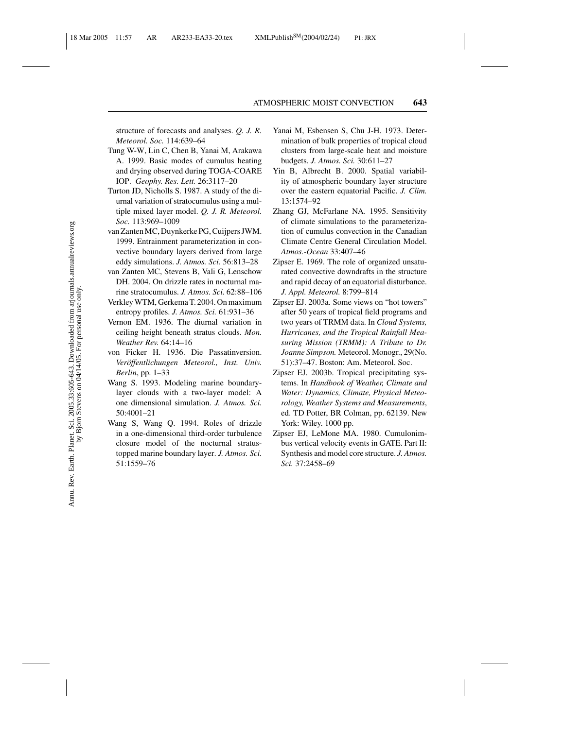structure of forecasts and analyses. *Q. J. R. Meteorol. Soc.* 114:639–64

- Tung W-W, Lin C, Chen B, Yanai M, Arakawa A. 1999. Basic modes of cumulus heating and drying observed during TOGA-COARE IOP. *Geophy. Res. Lett.* 26:3117–20
- Turton JD, Nicholls S. 1987. A study of the diurnal variation of stratocumulus using a multiple mixed layer model. *Q. J. R. Meteorol. Soc.* 113:969–1009
- vanZanten MC, Duynkerke PG, Cuijpers JWM. 1999. Entrainment parameterization in convective boundary layers derived from large eddy simulations. *J. Atmos. Sci.* 56:813–28
- van Zanten MC, Stevens B, Vali G, Lenschow DH. 2004. On drizzle rates in nocturnal marine stratocumulus. *J. Atmos. Sci.* 62:88–106
- Verkley WTM, Gerkema T. 2004. On maximum entropy profiles. *J. Atmos. Sci.* 61:931–36
- Vernon EM. 1936. The diurnal variation in ceiling height beneath stratus clouds. *Mon. Weather Rev.* 64:14–16
- von Ficker H. 1936. Die Passatinversion.  $Veröffentlichungen Meteorol., Inst. Univ.$ *Berlin*, pp. 1–33
- Wang S. 1993. Modeling marine boundarylayer clouds with a two-layer model: A one dimensional simulation. *J. Atmos. Sci.* 50:4001–21
- Wang S, Wang Q. 1994. Roles of drizzle in a one-dimensional third-order turbulence closure model of the nocturnal stratustopped marine boundary layer. *J. Atmos. Sci.* 51:1559–76
- Yanai M, Esbensen S, Chu J-H. 1973. Determination of bulk properties of tropical cloud clusters from large-scale heat and moisture budgets. *J. Atmos. Sci.* 30:611–27
- Yin B, Albrecht B. 2000. Spatial variability of atmospheric boundary layer structure over the eastern equatorial Pacific. *J. Clim.* 13:1574–92
- Zhang GJ, McFarlane NA. 1995. Sensitivity of climate simulations to the parameterization of cumulus convection in the Canadian Climate Centre General Circulation Model. *Atmos.-Ocean* 33:407–46
- Zipser E. 1969. The role of organized unsaturated convective downdrafts in the structure and rapid decay of an equatorial disturbance. *J. Appl. Meteorol.* 8:799–814
- Zipser EJ. 2003a. Some views on "hot towers" after 50 years of tropical field programs and two years of TRMM data. In *Cloud Systems, Hurricanes, and the Tropical Rainfall Measuring Mission (TRMM): A Tribute to Dr. Joanne Simpson.* Meteorol. Monogr., 29(No. 51):37–47. Boston: Am. Meteorol. Soc.
- Zipser EJ. 2003b. Tropical precipitating systems. In *Handbook of Weather, Climate and Water: Dynamics, Climate, Physical Meteorology, Weather Systems and Measurements*, ed. TD Potter, BR Colman, pp. 62139. New York: Wiley. 1000 pp.
- Zipser EJ, LeMone MA. 1980. Cumulonimbus vertical velocity events in GATE. Part II: Synthesis and model core structure. *J. Atmos. Sci.* 37:2458–69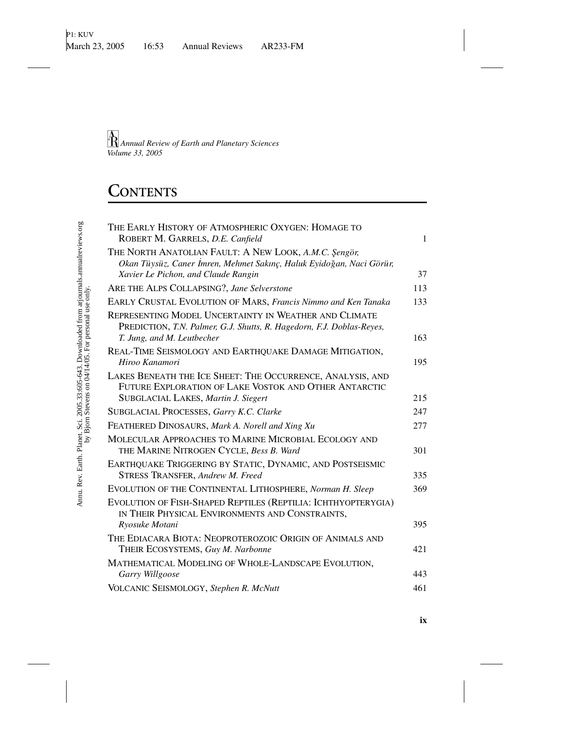# **CONTENTS**

| THE EARLY HISTORY OF ATMOSPHERIC OXYGEN: HOMAGE TO<br>ROBERT M. GARRELS, D.E. Canfield                                         | $\mathbf{1}$ |
|--------------------------------------------------------------------------------------------------------------------------------|--------------|
| THE NORTH ANATOLIAN FAULT: A NEW LOOK, A.M.C. Sengör,<br>Okan Tüysüz, Caner İmren, Mehmet Sakınç, Haluk Eyidoğan, Naci Görür,  |              |
| Xavier Le Pichon, and Claude Rangin                                                                                            | 37           |
| ARE THE ALPS COLLAPSING?, Jane Selverstone                                                                                     | 113          |
| EARLY CRUSTAL EVOLUTION OF MARS, Francis Nimmo and Ken Tanaka                                                                  | 133          |
| REPRESENTING MODEL UNCERTAINTY IN WEATHER AND CLIMATE<br>PREDICTION, T.N. Palmer, G.J. Shutts, R. Hagedorn, F.J. Doblas-Reyes, |              |
| T. Jung, and M. Leutbecher                                                                                                     | 163          |
| REAL-TIME SEISMOLOGY AND EARTHQUAKE DAMAGE MITIGATION,<br>Hiroo Kanamori                                                       | 195          |
| LAKES BENEATH THE ICE SHEET: THE OCCURRENCE, ANALYSIS, AND<br>FUTURE EXPLORATION OF LAKE VOSTOK AND OTHER ANTARCTIC            |              |
| SUBGLACIAL LAKES, Martin J. Siegert                                                                                            | 215          |
| SUBGLACIAL PROCESSES, Garry K.C. Clarke                                                                                        | 247          |
| FEATHERED DINOSAURS, Mark A. Norell and Xing Xu                                                                                | 277          |
| MOLECULAR APPROACHES TO MARINE MICROBIAL ECOLOGY AND<br>THE MARINE NITROGEN CYCLE, Bess B. Ward                                | 301          |
| EARTHQUAKE TRIGGERING BY STATIC, DYNAMIC, AND POSTSEISMIC<br>STRESS TRANSFER, Andrew M. Freed                                  | 335          |
| EVOLUTION OF THE CONTINENTAL LITHOSPHERE, Norman H. Sleep                                                                      | 369          |
| EVOLUTION OF FISH-SHAPED REPTILES (REPTILIA: ICHTHYOPTERYGIA)<br>IN THEIR PHYSICAL ENVIRONMENTS AND CONSTRAINTS,               |              |
| Ryosuke Motani                                                                                                                 | 395          |
| THE EDIACARA BIOTA: NEOPROTEROZOIC ORIGIN OF ANIMALS AND<br>THEIR ECOSYSTEMS, Guy M. Narbonne                                  | 421          |
| MATHEMATICAL MODELING OF WHOLE-LANDSCAPE EVOLUTION,<br>Garry Willgoose                                                         | 443          |
| VOLCANIC SEISMOLOGY, Stephen R. McNutt                                                                                         | 461          |